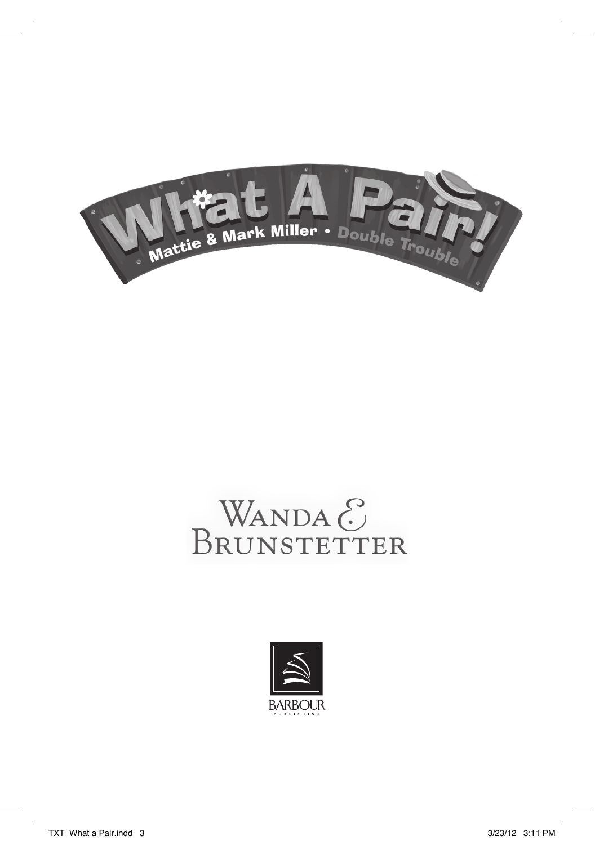

# WANDA &

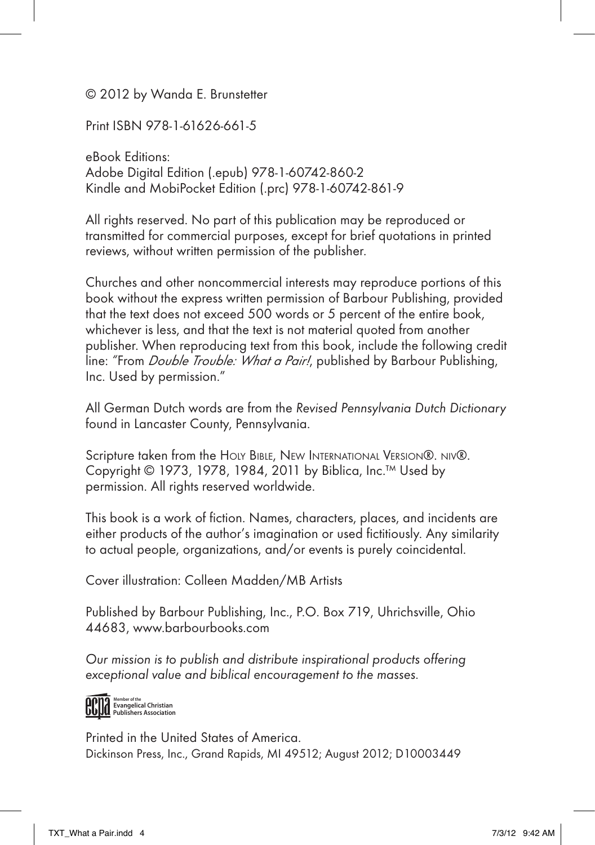© 2012 by Wanda E. Brunstetter

Print ISBN 978-1-61626-661-5

eBook Editions: Adobe Digital Edition (.epub) 978-1-60742-860-2 Kindle and MobiPocket Edition (.prc) 978-1-60742-861-9

All rights reserved. No part of this publication may be reproduced or transmitted for commercial purposes, except for brief quotations in printed reviews, without written permission of the publisher.

Churches and other noncommercial interests may reproduce portions of this book without the express written permission of Barbour Publishing, provided that the text does not exceed 500 words or 5 percent of the entire book, whichever is less, and that the text is not material quoted from another publisher. When reproducing text from this book, include the following credit line: *"*From *Double Trouble: What a Pair!*, published by Barbour Publishing, Inc. Used by permission."

All German Dutch words are from the *Revised Pennsylvania Dutch Dictionary*  found in Lancaster County, Pennsylvania.

Scripture taken from the Holy Bible, New International Version®. niv®. Copyright © 1973, 1978, 1984, 2011 by Biblica, Inc.™ Used by permission. All rights reserved worldwide.

This book is a work of fiction. Names, characters, places, and incidents are either products of the author's imagination or used fictitiously. Any similarity to actual people, organizations, and/or events is purely coincidental.

Cover illustration: Colleen Madden/MB Artists

Published by Barbour Publishing, Inc., P.O. Box 719, Uhrichsville, Ohio 44683, www.barbourbooks.com

*Our mission is to publish and distribute inspirational products offering exceptional value and biblical encouragement to the masses.*

**Publishers Association Member of the Evangelical Christian**

Printed in the United States of America. Dickinson Press, Inc., Grand Rapids, MI 49512; August 2012; D10003449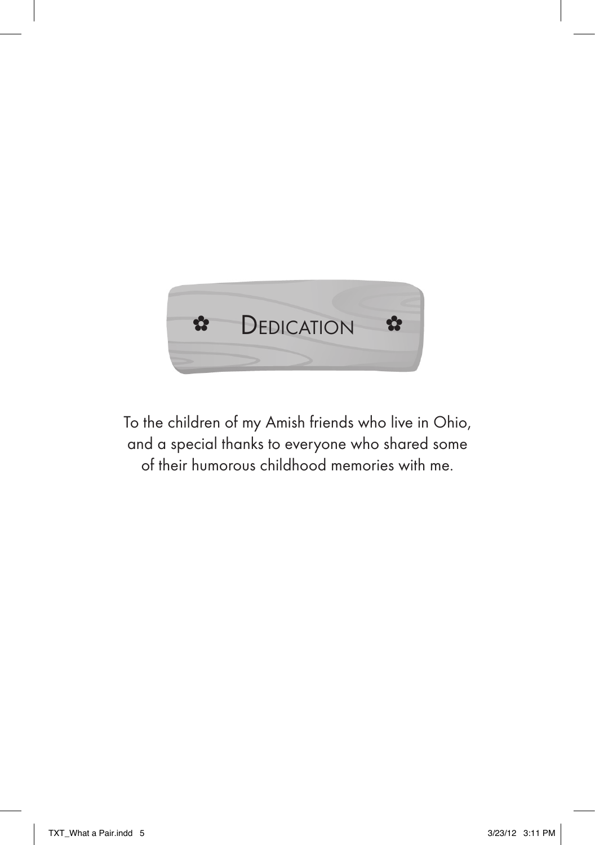

To the children of my Amish friends who live in Ohio, and a special thanks to everyone who shared some of their humorous childhood memories with me.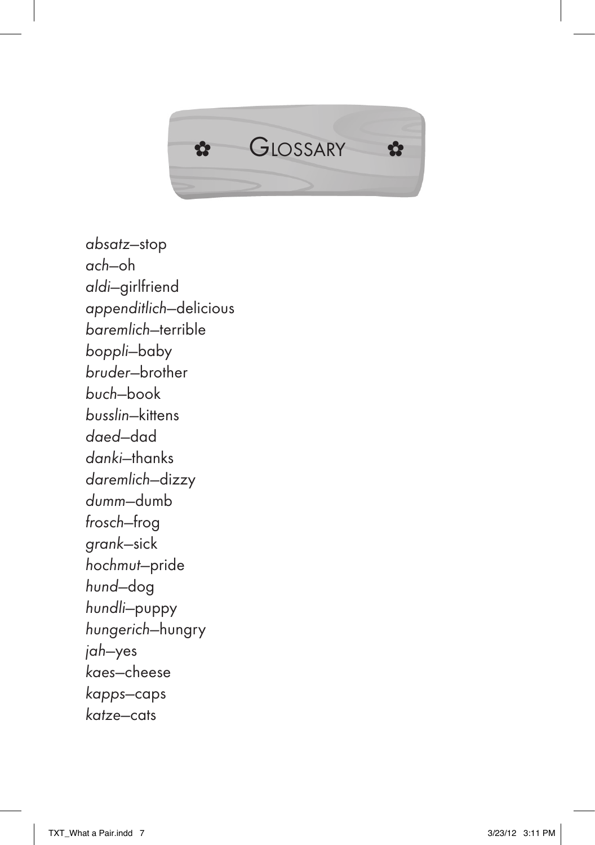

*absatz—*stop *ach—*oh *aldi—*girlfriend *appenditlich*—delicious *baremlich—*terrible *boppli—*baby *bruder—*brother *buch*—book *busslin—*kittens *daed—*dad *danki—*thanks *daremlich—*dizzy *dumm—*dumb *frosch—*frog *grank—*sick *hochmut—*pride *hund—*dog *hundli—*puppy *hungerich—*hungry *jah—*yes *kaes*—cheese *kapps—*caps *katze—*cats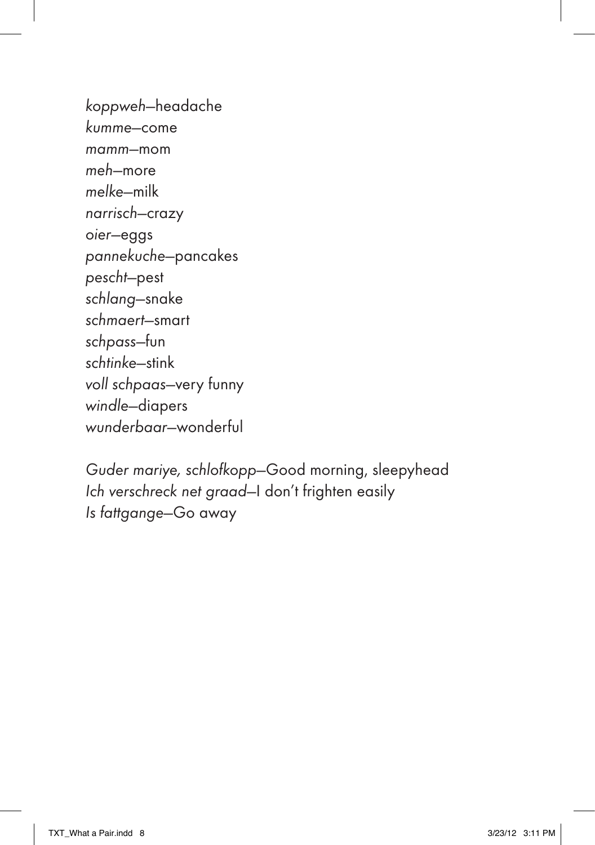*koppweh—*headache *kumme—*come *mamm—*mom *meh*—more *melke—*milk *narrisch—*crazy *oier—*eggs *pannekuche—*pancakes *pescht—*pest *schlang—*snake *schmaert—*smart *schpass—*fun *schtinke—*stink *voll schpaas—*very funny *windle—*diapers *wunderbaar—*wonderful

*Guder mariye, schlofkopp—*Good morning, sleepyhead *Ich verschreck net graad—*I don't frighten easily *Is fattgange—*Go away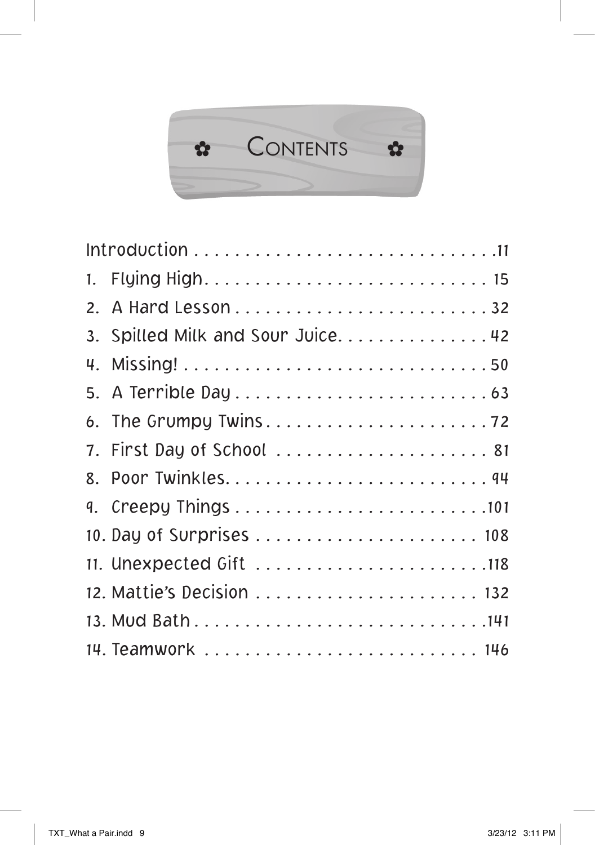

| 3. Spilled Milk and Sour Juice42 |
|----------------------------------|
|                                  |
|                                  |
|                                  |
| 7. First Day of School  81       |
|                                  |
|                                  |
|                                  |
| 11. Unexpected Gift 118          |
|                                  |
|                                  |
|                                  |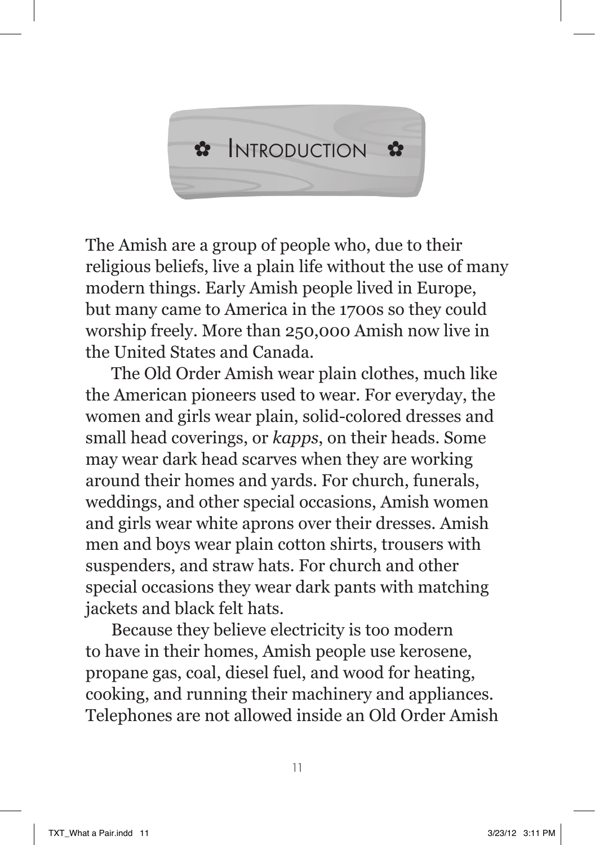

The Amish are a group of people who, due to their religious beliefs, live a plain life without the use of many modern things. Early Amish people lived in Europe, but many came to America in the 1700s so they could worship freely. More than 250,000 Amish now live in the United States and Canada.

The Old Order Amish wear plain clothes, much like the American pioneers used to wear. For everyday, the women and girls wear plain, solid-colored dresses and small head coverings, or *kapps*, on their heads. Some may wear dark head scarves when they are working around their homes and yards. For church, funerals, weddings, and other special occasions, Amish women and girls wear white aprons over their dresses. Amish men and boys wear plain cotton shirts, trousers with suspenders, and straw hats. For church and other special occasions they wear dark pants with matching jackets and black felt hats.

Because they believe electricity is too modern to have in their homes, Amish people use kerosene, propane gas, coal, diesel fuel, and wood for heating, cooking, and running their machinery and appliances. Telephones are not allowed inside an Old Order Amish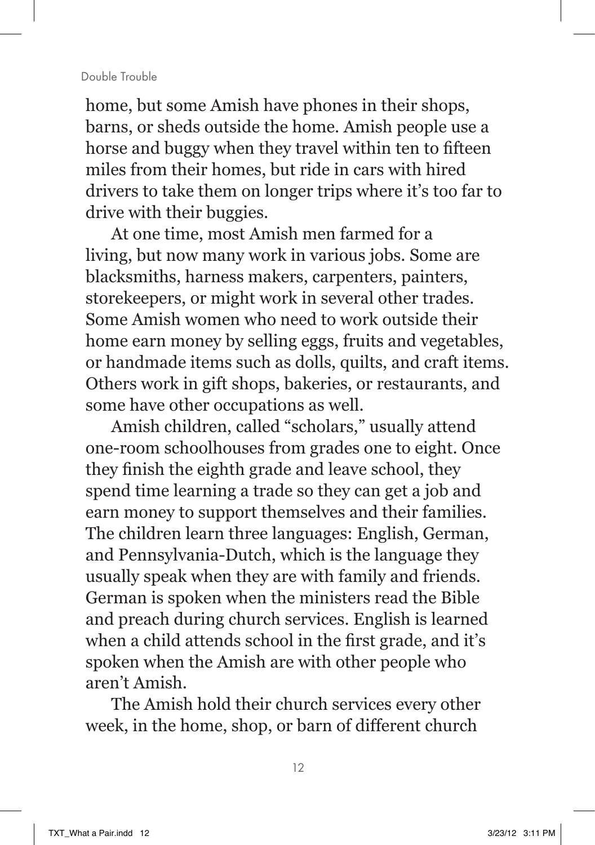#### Double Trouble

home, but some Amish have phones in their shops, barns, or sheds outside the home. Amish people use a horse and buggy when they travel within ten to fifteen miles from their homes, but ride in cars with hired drivers to take them on longer trips where it's too far to drive with their buggies.

At one time, most Amish men farmed for a living, but now many work in various jobs. Some are blacksmiths, harness makers, carpenters, painters, storekeepers, or might work in several other trades. Some Amish women who need to work outside their home earn money by selling eggs, fruits and vegetables, or handmade items such as dolls, quilts, and craft items. Others work in gift shops, bakeries, or restaurants, and some have other occupations as well.

Amish children, called "scholars," usually attend one-room schoolhouses from grades one to eight. Once they finish the eighth grade and leave school, they spend time learning a trade so they can get a job and earn money to support themselves and their families. The children learn three languages: English, German, and Pennsylvania-Dutch, which is the language they usually speak when they are with family and friends. German is spoken when the ministers read the Bible and preach during church services. English is learned when a child attends school in the first grade, and it's spoken when the Amish are with other people who aren't Amish.

The Amish hold their church services every other week, in the home, shop, or barn of different church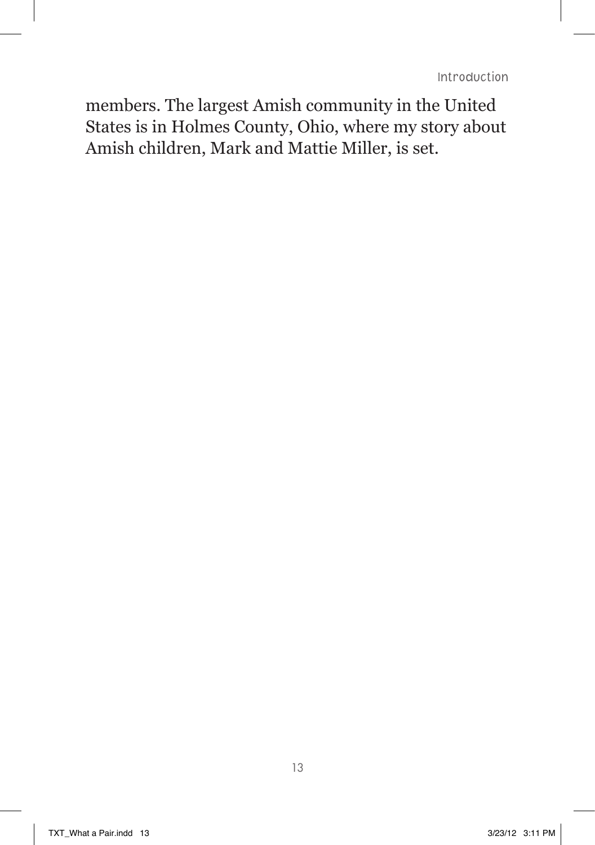members. The largest Amish community in the United States is in Holmes County, Ohio, where my story about Amish children, Mark and Mattie Miller, is set.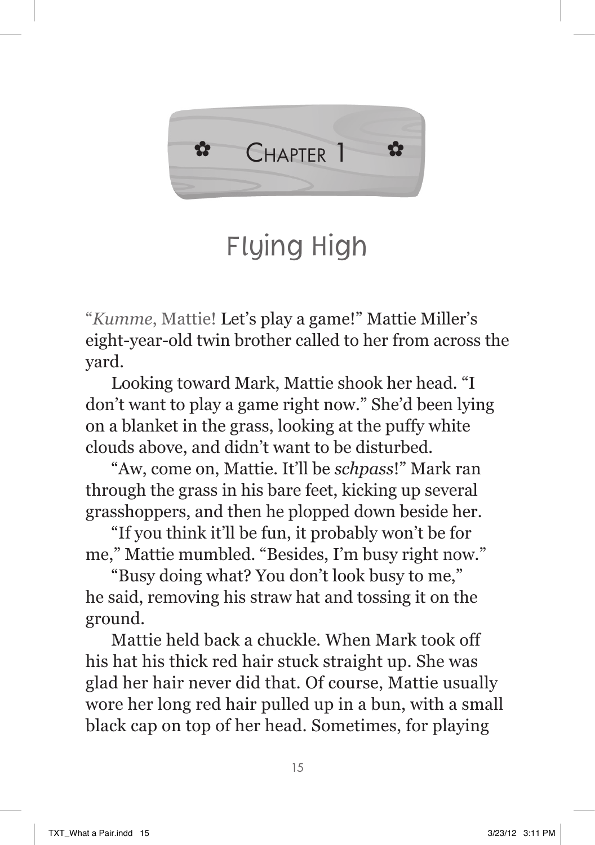

Flying High

"*Kumme*, Mattie! Let's play a game!" Mattie Miller's eight-year-old twin brother called to her from across the yard.

Looking toward Mark, Mattie shook her head. "I don't want to play a game right now." She'd been lying on a blanket in the grass, looking at the puffy white clouds above, and didn't want to be disturbed.

"Aw, come on, Mattie. It'll be *schpass*!" Mark ran through the grass in his bare feet, kicking up several grasshoppers, and then he plopped down beside her.

"If you think it'll be fun, it probably won't be for me," Mattie mumbled. "Besides, I'm busy right now."

"Busy doing what? You don't look busy to me," he said, removing his straw hat and tossing it on the ground.

Mattie held back a chuckle. When Mark took off his hat his thick red hair stuck straight up. She was glad her hair never did that. Of course, Mattie usually wore her long red hair pulled up in a bun, with a small black cap on top of her head. Sometimes, for playing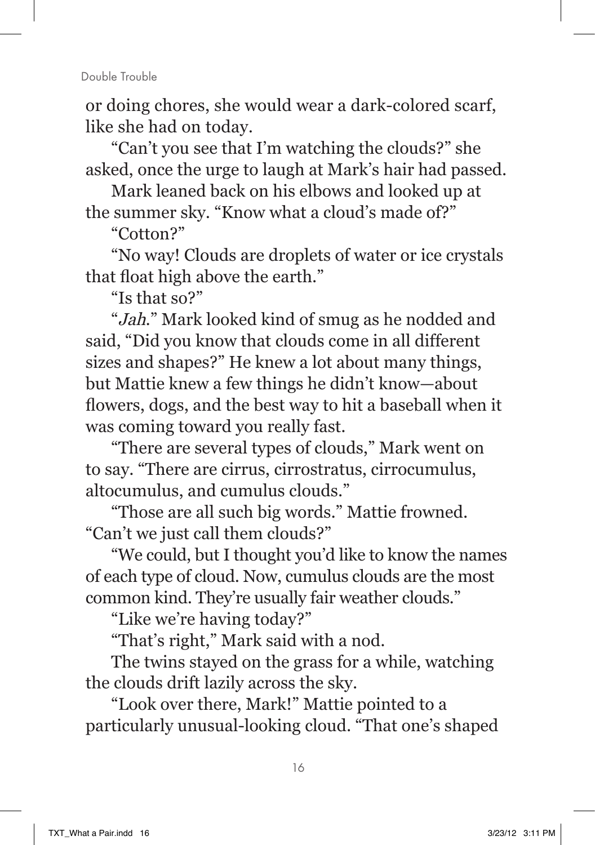or doing chores, she would wear a dark-colored scarf, like she had on today.

"Can't you see that I'm watching the clouds?" she asked, once the urge to laugh at Mark's hair had passed.

Mark leaned back on his elbows and looked up at the summer sky. "Know what a cloud's made of?"

"Cotton?"

"No way! Clouds are droplets of water or ice crystals that float high above the earth."

"Is that so?"

"Jah." Mark looked kind of smug as he nodded and said, "Did you know that clouds come in all different sizes and shapes?" He knew a lot about many things, but Mattie knew a few things he didn't know—about flowers, dogs, and the best way to hit a baseball when it was coming toward you really fast.

"There are several types of clouds," Mark went on to say. "There are cirrus, cirrostratus, cirrocumulus, altocumulus, and cumulus clouds."

"Those are all such big words." Mattie frowned. "Can't we just call them clouds?"

"We could, but I thought you'd like to know the names of each type of cloud. Now, cumulus clouds are the most common kind. They're usually fair weather clouds."

"Like we're having today?"

"That's right," Mark said with a nod.

The twins stayed on the grass for a while, watching the clouds drift lazily across the sky.

"Look over there, Mark!" Mattie pointed to a particularly unusual-looking cloud. "That one's shaped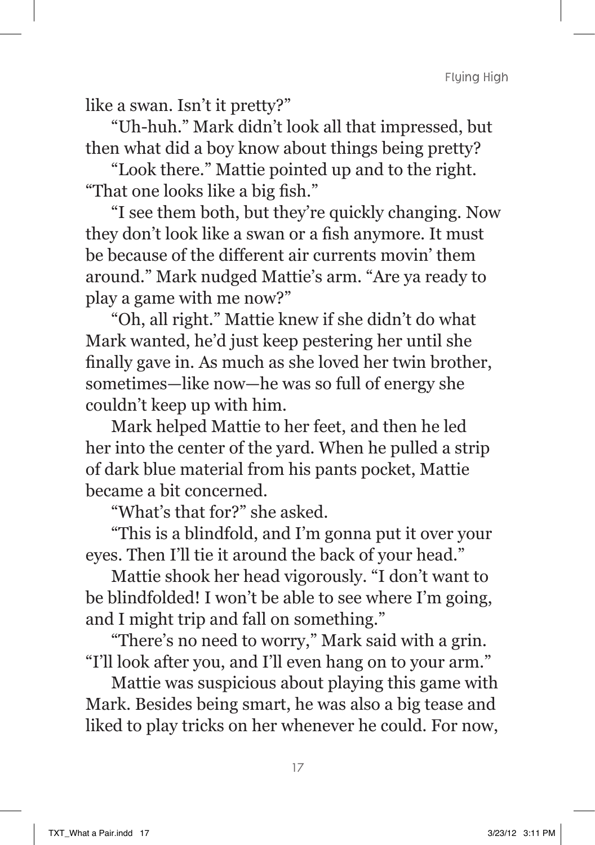like a swan. Isn't it pretty?"

"Uh-huh." Mark didn't look all that impressed, but then what did a boy know about things being pretty?

"Look there." Mattie pointed up and to the right. "That one looks like a big fish."

"I see them both, but they're quickly changing. Now they don't look like a swan or a fish anymore. It must be because of the different air currents movin' them around." Mark nudged Mattie's arm. "Are ya ready to play a game with me now?"

"Oh, all right." Mattie knew if she didn't do what Mark wanted, he'd just keep pestering her until she finally gave in. As much as she loved her twin brother, sometimes—like now—he was so full of energy she couldn't keep up with him.

Mark helped Mattie to her feet, and then he led her into the center of the yard. When he pulled a strip of dark blue material from his pants pocket, Mattie became a bit concerned.

"What's that for?" she asked.

"This is a blindfold, and I'm gonna put it over your eyes. Then I'll tie it around the back of your head."

Mattie shook her head vigorously. "I don't want to be blindfolded! I won't be able to see where I'm going, and I might trip and fall on something."

"There's no need to worry," Mark said with a grin. "I'll look after you, and I'll even hang on to your arm."

Mattie was suspicious about playing this game with Mark. Besides being smart, he was also a big tease and liked to play tricks on her whenever he could. For now,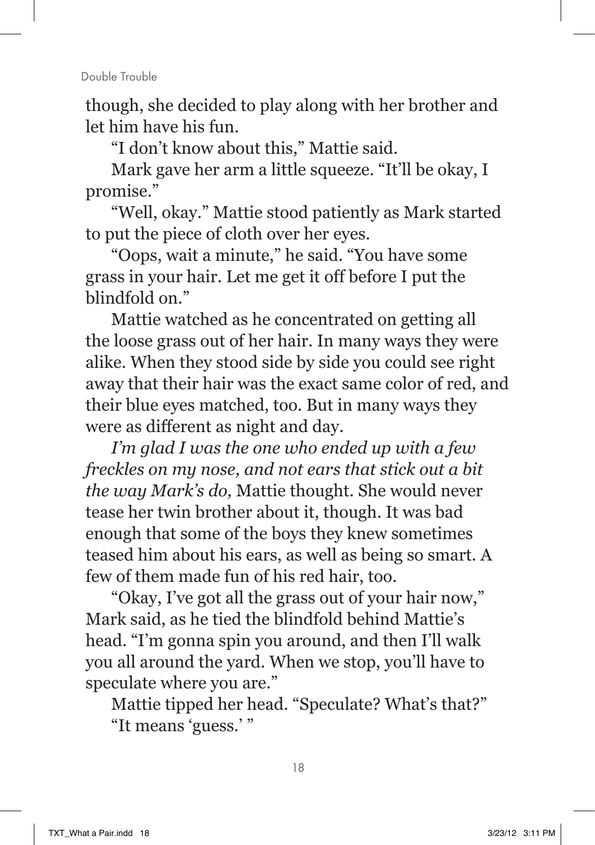though, she decided to play along with her brother and let him have his fun.

"I don't know about this," Mattie said.

Mark gave her arm a little squeeze. "It'll be okay, I promise."

"Well, okay." Mattie stood patiently as Mark started to put the piece of cloth over her eyes.

"Oops, wait a minute," he said. "You have some grass in your hair. Let me get it off before I put the blindfold on."

Mattie watched as he concentrated on getting all the loose grass out of her hair. In many ways they were alike. When they stood side by side you could see right away that their hair was the exact same color of red, and their blue eyes matched, too. But in many ways they were as different as night and day.

*I'm glad I was the one who ended up with a few freckles on my nose, and not ears that stick out a bit the way Mark's do,* Mattie thought. She would never tease her twin brother about it, though. It was bad enough that some of the boys they knew sometimes teased him about his ears, as well as being so smart. A few of them made fun of his red hair, too.

"Okay, I've got all the grass out of your hair now," Mark said, as he tied the blindfold behind Mattie's head. "I'm gonna spin you around, and then I'll walk you all around the yard. When we stop, you'll have to speculate where you are."

Mattie tipped her head. "Speculate? What's that?" "It means 'guess.' "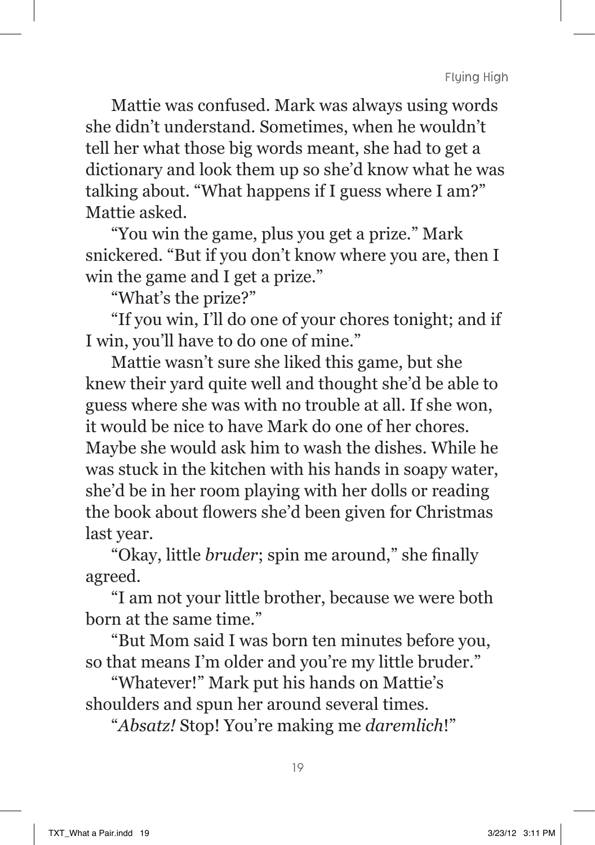Mattie was confused. Mark was always using words she didn't understand. Sometimes, when he wouldn't tell her what those big words meant, she had to get a dictionary and look them up so she'd know what he was talking about. "What happens if I guess where I am?" Mattie asked.

"You win the game, plus you get a prize." Mark snickered. "But if you don't know where you are, then I win the game and I get a prize."

"What's the prize?"

"If you win, I'll do one of your chores tonight; and if I win, you'll have to do one of mine."

Mattie wasn't sure she liked this game, but she knew their yard quite well and thought she'd be able to guess where she was with no trouble at all. If she won, it would be nice to have Mark do one of her chores. Maybe she would ask him to wash the dishes. While he was stuck in the kitchen with his hands in soapy water, she'd be in her room playing with her dolls or reading the book about flowers she'd been given for Christmas last year.

"Okay, little *bruder*; spin me around," she finally agreed.

"I am not your little brother, because we were both born at the same time."

"But Mom said I was born ten minutes before you, so that means I'm older and you're my little bruder."

"Whatever!" Mark put his hands on Mattie's shoulders and spun her around several times.

"*Absatz!* Stop! You're making me *daremlich*!"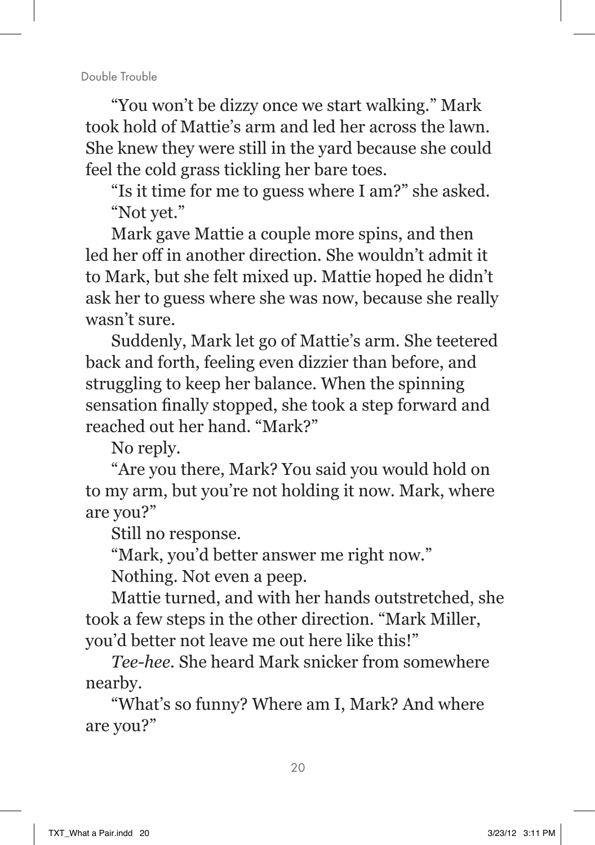"You won't be dizzy once we start walking." Mark took hold of Mattie's arm and led her across the lawn. She knew they were still in the yard because she could feel the cold grass tickling her bare toes.

"Is it time for me to guess where I am?" she asked. "Not yet."

Mark gave Mattie a couple more spins, and then led her off in another direction. She wouldn't admit it to Mark, but she felt mixed up. Mattie hoped he didn't ask her to guess where she was now, because she really wasn't sure.

Suddenly, Mark let go of Mattie's arm. She teetered back and forth, feeling even dizzier than before, and struggling to keep her balance. When the spinning sensation finally stopped, she took a step forward and reached out her hand. "Mark?"

No reply.

"Are you there, Mark? You said you would hold on to my arm, but you're not holding it now. Mark, where are you?"

Still no response.

"Mark, you'd better answer me right now."

Nothing. Not even a peep.

Mattie turned, and with her hands outstretched, she took a few steps in the other direction. "Mark Miller, you'd better not leave me out here like this!"

*Tee-hee.* She heard Mark snicker from somewhere nearby.

"What's so funny? Where am I, Mark? And where are you?"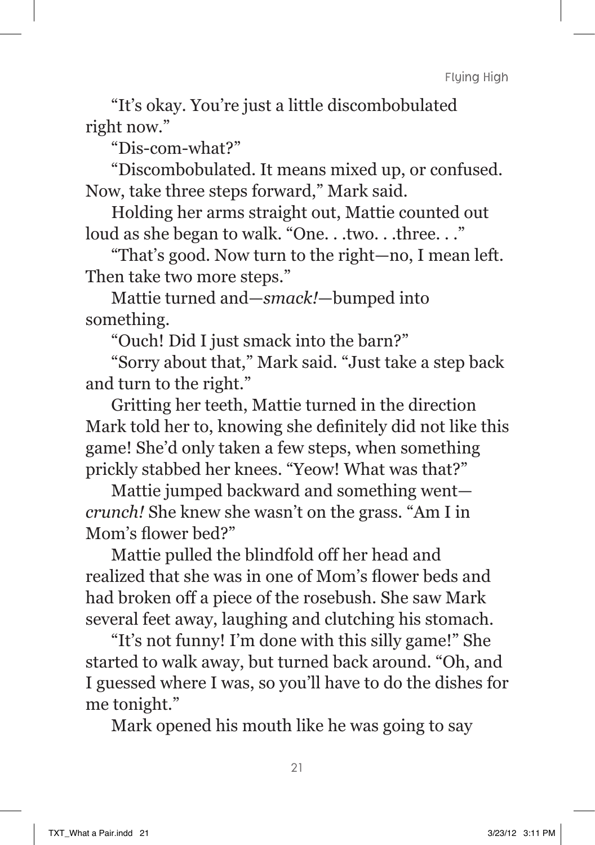"It's okay. You're just a little discombobulated right now."

"Dis-com-what?"

"Discombobulated. It means mixed up, or confused. Now, take three steps forward," Mark said.

Holding her arms straight out, Mattie counted out loud as she began to walk. "One...two...three..."

"That's good. Now turn to the right—no, I mean left. Then take two more steps."

Mattie turned and—*smack!*—bumped into something.

"Ouch! Did I just smack into the barn?"

"Sorry about that," Mark said. "Just take a step back and turn to the right."

Gritting her teeth, Mattie turned in the direction Mark told her to, knowing she definitely did not like this game! She'd only taken a few steps, when something prickly stabbed her knees. "Yeow! What was that?"

Mattie jumped backward and something went *crunch!* She knew she wasn't on the grass. "Am I in Mom's flower bed?"

Mattie pulled the blindfold off her head and realized that she was in one of Mom's flower beds and had broken off a piece of the rosebush. She saw Mark several feet away, laughing and clutching his stomach.

"It's not funny! I'm done with this silly game!" She started to walk away, but turned back around. "Oh, and I guessed where I was, so you'll have to do the dishes for me tonight."

Mark opened his mouth like he was going to say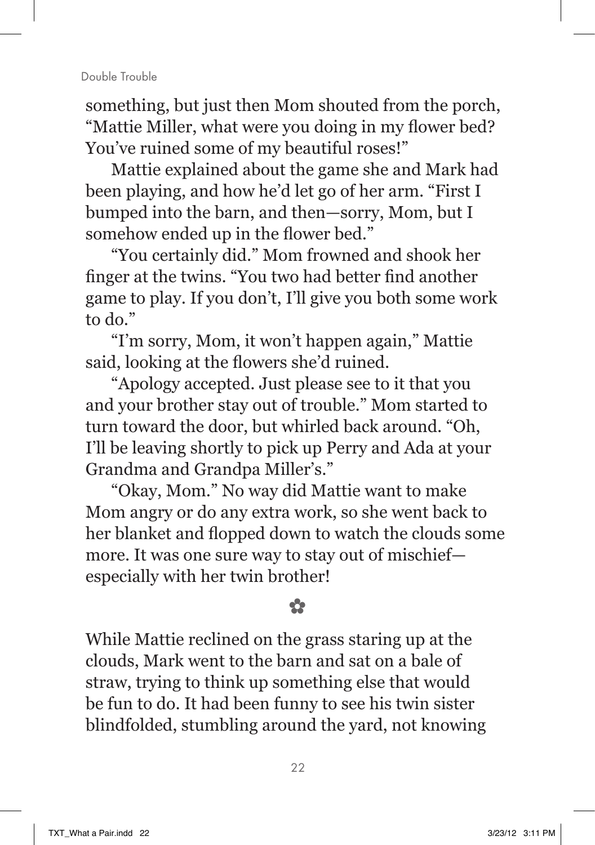something, but just then Mom shouted from the porch, "Mattie Miller, what were you doing in my flower bed? You've ruined some of my beautiful roses!"

Mattie explained about the game she and Mark had been playing, and how he'd let go of her arm. "First I bumped into the barn, and then—sorry, Mom, but I somehow ended up in the flower bed."

"You certainly did." Mom frowned and shook her finger at the twins. "You two had better find another game to play. If you don't, I'll give you both some work to do."

"I'm sorry, Mom, it won't happen again," Mattie said, looking at the flowers she'd ruined.

"Apology accepted. Just please see to it that you and your brother stay out of trouble." Mom started to turn toward the door, but whirled back around. "Oh, I'll be leaving shortly to pick up Perry and Ada at your Grandma and Grandpa Miller's."

"Okay, Mom." No way did Mattie want to make Mom angry or do any extra work, so she went back to her blanket and flopped down to watch the clouds some more. It was one sure way to stay out of mischief especially with her twin brother!

### ✿

While Mattie reclined on the grass staring up at the clouds, Mark went to the barn and sat on a bale of straw, trying to think up something else that would be fun to do. It had been funny to see his twin sister blindfolded, stumbling around the yard, not knowing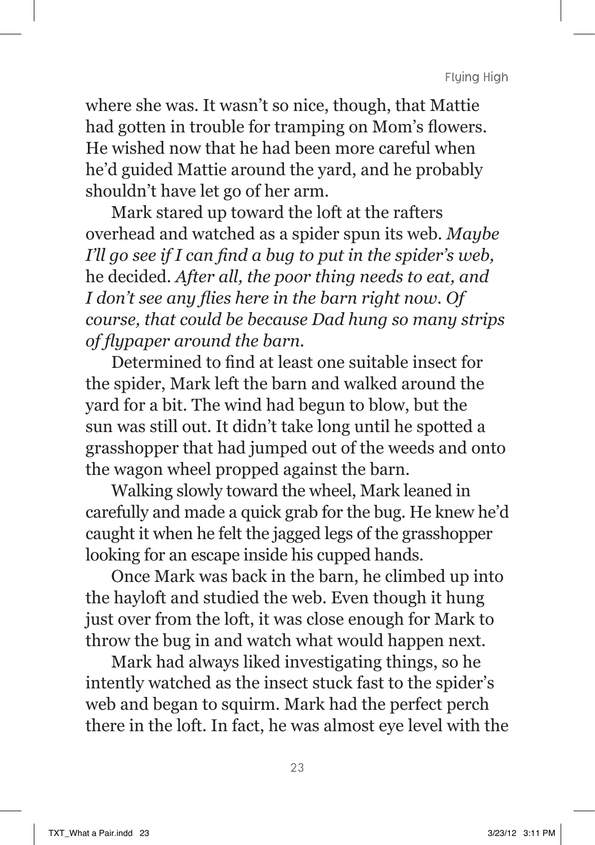where she was. It wasn't so nice, though, that Mattie had gotten in trouble for tramping on Mom's flowers. He wished now that he had been more careful when he'd guided Mattie around the yard, and he probably shouldn't have let go of her arm.

Mark stared up toward the loft at the rafters overhead and watched as a spider spun its web. *Maybe I'll go see if I can find a bug to put in the spider's web,* he decided. *After all, the poor thing needs to eat, and I don't see any flies here in the barn right now. Of course, that could be because Dad hung so many strips of flypaper around the barn.*

Determined to find at least one suitable insect for the spider, Mark left the barn and walked around the yard for a bit. The wind had begun to blow, but the sun was still out. It didn't take long until he spotted a grasshopper that had jumped out of the weeds and onto the wagon wheel propped against the barn.

Walking slowly toward the wheel, Mark leaned in carefully and made a quick grab for the bug. He knew he'd caught it when he felt the jagged legs of the grasshopper looking for an escape inside his cupped hands.

Once Mark was back in the barn, he climbed up into the hayloft and studied the web. Even though it hung just over from the loft, it was close enough for Mark to throw the bug in and watch what would happen next.

Mark had always liked investigating things, so he intently watched as the insect stuck fast to the spider's web and began to squirm. Mark had the perfect perch there in the loft. In fact, he was almost eye level with the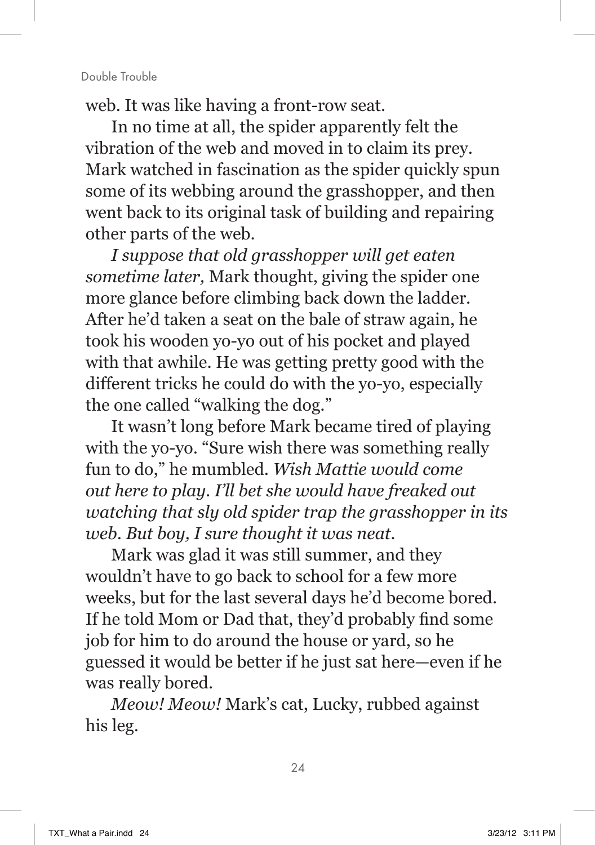web. It was like having a front-row seat.

In no time at all, the spider apparently felt the vibration of the web and moved in to claim its prey. Mark watched in fascination as the spider quickly spun some of its webbing around the grasshopper, and then went back to its original task of building and repairing other parts of the web.

*I suppose that old grasshopper will get eaten sometime later,* Mark thought, giving the spider one more glance before climbing back down the ladder. After he'd taken a seat on the bale of straw again, he took his wooden yo-yo out of his pocket and played with that awhile. He was getting pretty good with the different tricks he could do with the yo-yo, especially the one called "walking the dog."

It wasn't long before Mark became tired of playing with the yo-yo. "Sure wish there was something really fun to do," he mumbled. *Wish Mattie would come out here to play. I'll bet she would have freaked out watching that sly old spider trap the grasshopper in its web. But boy, I sure thought it was neat.*

Mark was glad it was still summer, and they wouldn't have to go back to school for a few more weeks, but for the last several days he'd become bored. If he told Mom or Dad that, they'd probably find some job for him to do around the house or yard, so he guessed it would be better if he just sat here—even if he was really bored.

*Meow! Meow!* Mark's cat, Lucky, rubbed against his leg.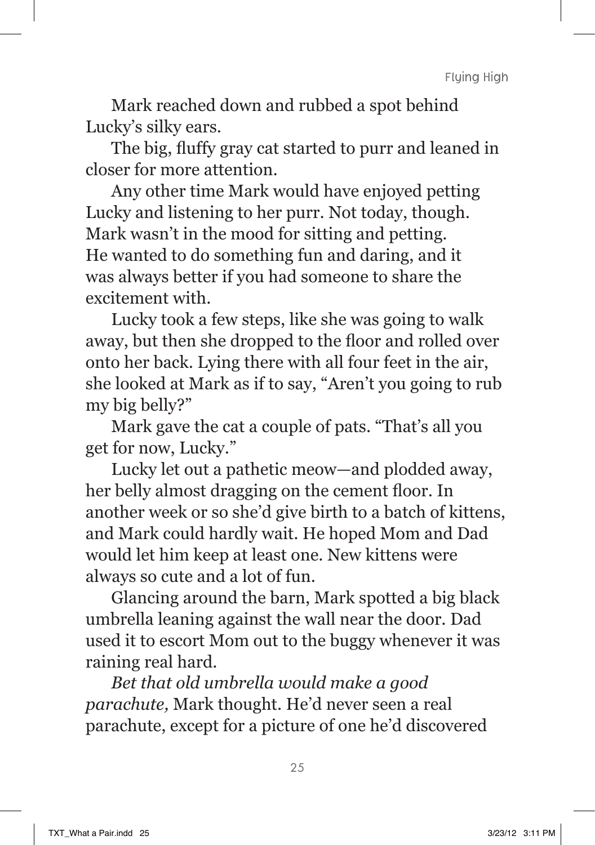Mark reached down and rubbed a spot behind Lucky's silky ears.

The big, fluffy gray cat started to purr and leaned in closer for more attention.

Any other time Mark would have enjoyed petting Lucky and listening to her purr. Not today, though. Mark wasn't in the mood for sitting and petting. He wanted to do something fun and daring, and it was always better if you had someone to share the excitement with.

Lucky took a few steps, like she was going to walk away, but then she dropped to the floor and rolled over onto her back. Lying there with all four feet in the air, she looked at Mark as if to say, "Aren't you going to rub my big belly?"

Mark gave the cat a couple of pats. "That's all you get for now, Lucky."

Lucky let out a pathetic meow—and plodded away, her belly almost dragging on the cement floor. In another week or so she'd give birth to a batch of kittens, and Mark could hardly wait. He hoped Mom and Dad would let him keep at least one. New kittens were always so cute and a lot of fun.

Glancing around the barn, Mark spotted a big black umbrella leaning against the wall near the door. Dad used it to escort Mom out to the buggy whenever it was raining real hard.

*Bet that old umbrella would make a good parachute,* Mark thought. He'd never seen a real parachute, except for a picture of one he'd discovered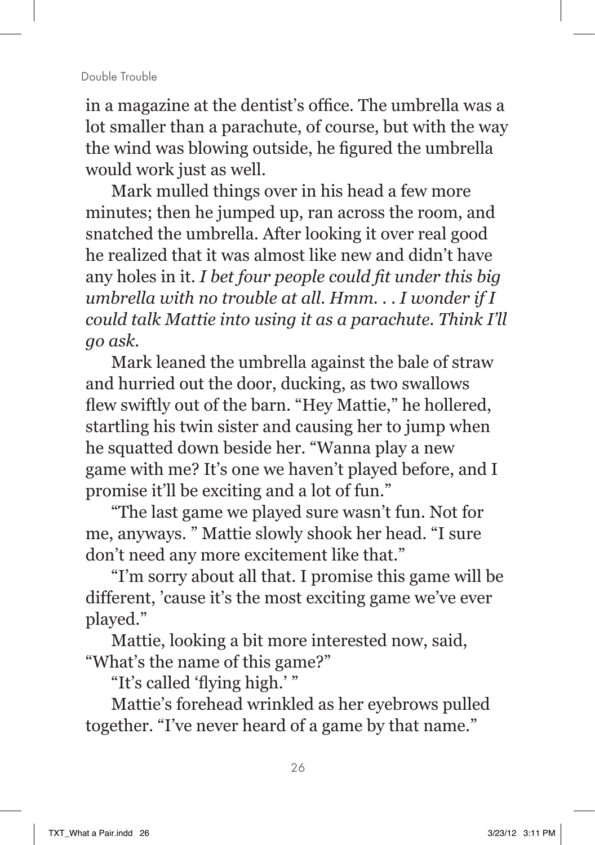in a magazine at the dentist's office. The umbrella was a lot smaller than a parachute, of course, but with the way the wind was blowing outside, he figured the umbrella would work just as well.

Mark mulled things over in his head a few more minutes; then he jumped up, ran across the room, and snatched the umbrella. After looking it over real good he realized that it was almost like new and didn't have any holes in it. *I bet four people could fit under this big umbrella with no trouble at all. Hmm. .* . *I wonder if I could talk Mattie into using it as a parachute. Think I'll go ask.*

Mark leaned the umbrella against the bale of straw and hurried out the door, ducking, as two swallows flew swiftly out of the barn. "Hey Mattie," he hollered, startling his twin sister and causing her to jump when he squatted down beside her. "Wanna play a new game with me? It's one we haven't played before, and I promise it'll be exciting and a lot of fun."

"The last game we played sure wasn't fun. Not for me, anyways. " Mattie slowly shook her head. "I sure don't need any more excitement like that."

"I'm sorry about all that. I promise this game will be different, 'cause it's the most exciting game we've ever played."

Mattie, looking a bit more interested now, said, "What's the name of this game?"

"It's called 'flying high.' "

Mattie's forehead wrinkled as her eyebrows pulled together. "I've never heard of a game by that name."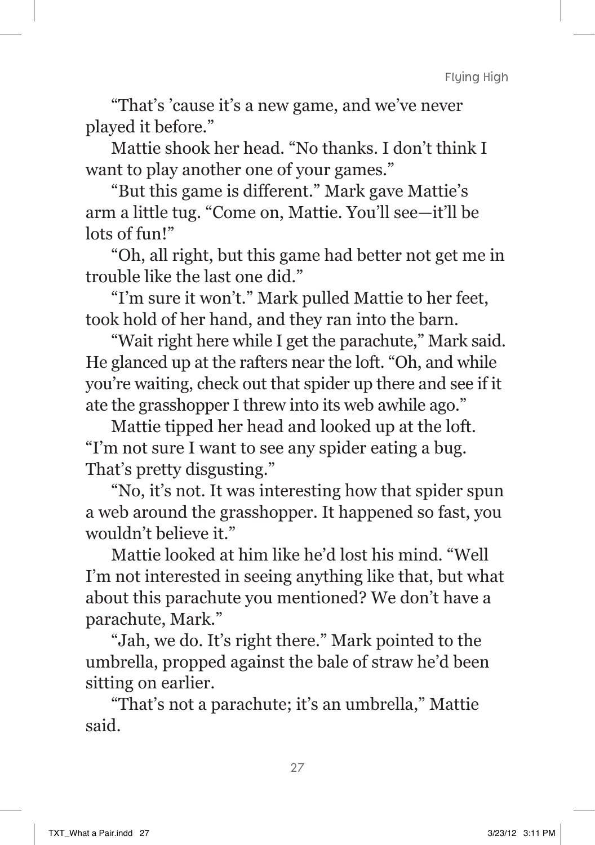"That's 'cause it's a new game, and we've never played it before."

Mattie shook her head. "No thanks. I don't think I want to play another one of your games."

"But this game is different." Mark gave Mattie's arm a little tug. "Come on, Mattie. You'll see—it'll be lots of fun!"

"Oh, all right, but this game had better not get me in trouble like the last one did."

"I'm sure it won't." Mark pulled Mattie to her feet, took hold of her hand, and they ran into the barn.

"Wait right here while I get the parachute," Mark said. He glanced up at the rafters near the loft. "Oh, and while you're waiting, check out that spider up there and see if it ate the grasshopper I threw into its web awhile ago."

Mattie tipped her head and looked up at the loft. "I'm not sure I want to see any spider eating a bug. That's pretty disgusting."

"No, it's not. It was interesting how that spider spun a web around the grasshopper. It happened so fast, you wouldn't believe it."

Mattie looked at him like he'd lost his mind. "Well I'm not interested in seeing anything like that, but what about this parachute you mentioned? We don't have a parachute, Mark."

"Jah, we do. It's right there." Mark pointed to the umbrella, propped against the bale of straw he'd been sitting on earlier.

"That's not a parachute; it's an umbrella," Mattie said.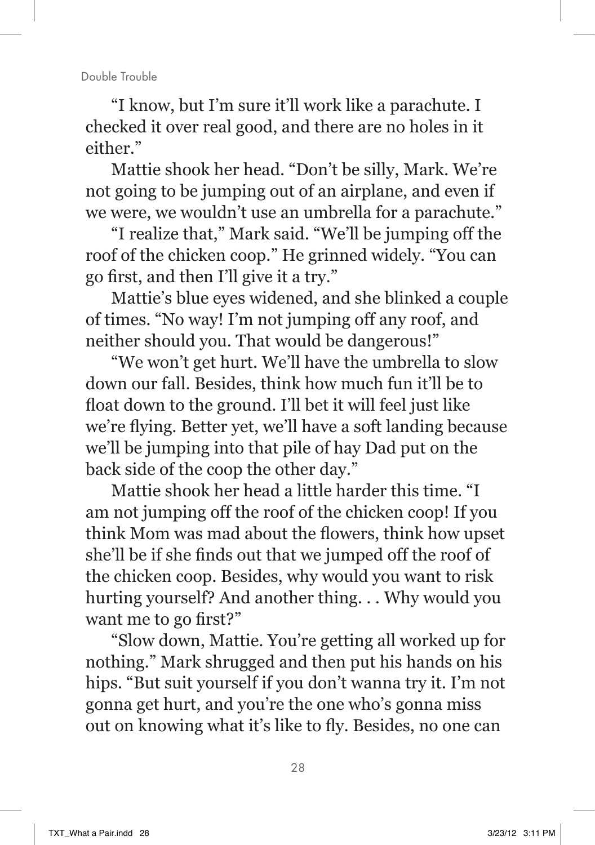"I know, but I'm sure it'll work like a parachute. I checked it over real good, and there are no holes in it either."

Mattie shook her head. "Don't be silly, Mark. We're not going to be jumping out of an airplane, and even if we were, we wouldn't use an umbrella for a parachute."

"I realize that," Mark said. "We'll be jumping off the roof of the chicken coop." He grinned widely. "You can go first, and then I'll give it a try."

Mattie's blue eyes widened, and she blinked a couple of times. "No way! I'm not jumping off any roof, and neither should you. That would be dangerous!"

"We won't get hurt. We'll have the umbrella to slow down our fall. Besides, think how much fun it'll be to float down to the ground. I'll bet it will feel just like we're flying. Better yet, we'll have a soft landing because we'll be jumping into that pile of hay Dad put on the back side of the coop the other day."

Mattie shook her head a little harder this time. "I am not jumping off the roof of the chicken coop! If you think Mom was mad about the flowers, think how upset she'll be if she finds out that we jumped off the roof of the chicken coop. Besides, why would you want to risk hurting yourself? And another thing. . . Why would you want me to go first?"

"Slow down, Mattie. You're getting all worked up for nothing." Mark shrugged and then put his hands on his hips. "But suit yourself if you don't wanna try it. I'm not gonna get hurt, and you're the one who's gonna miss out on knowing what it's like to fly. Besides, no one can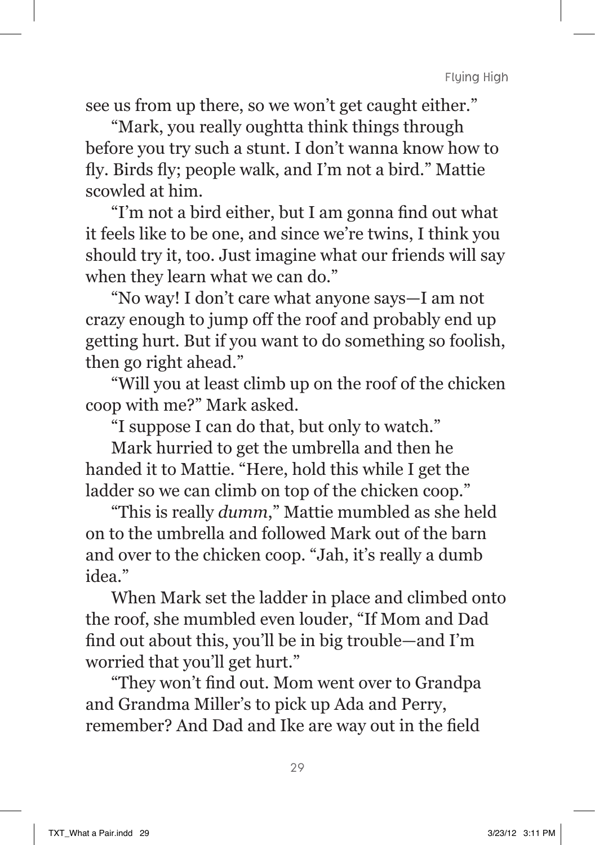see us from up there, so we won't get caught either."

"Mark, you really oughtta think things through before you try such a stunt. I don't wanna know how to fly. Birds fly; people walk, and I'm not a bird." Mattie scowled at him.

"I'm not a bird either, but I am gonna find out what it feels like to be one, and since we're twins, I think you should try it, too. Just imagine what our friends will say when they learn what we can do."

"No way! I don't care what anyone says—I am not crazy enough to jump off the roof and probably end up getting hurt. But if you want to do something so foolish, then go right ahead."

"Will you at least climb up on the roof of the chicken coop with me?" Mark asked.

"I suppose I can do that, but only to watch."

Mark hurried to get the umbrella and then he handed it to Mattie. "Here, hold this while I get the ladder so we can climb on top of the chicken coop."

"This is really *dumm*," Mattie mumbled as she held on to the umbrella and followed Mark out of the barn and over to the chicken coop. "Jah, it's really a dumb idea."

When Mark set the ladder in place and climbed onto the roof, she mumbled even louder, "If Mom and Dad find out about this, you'll be in big trouble—and I'm worried that you'll get hurt."

"They won't find out. Mom went over to Grandpa and Grandma Miller's to pick up Ada and Perry, remember? And Dad and Ike are way out in the field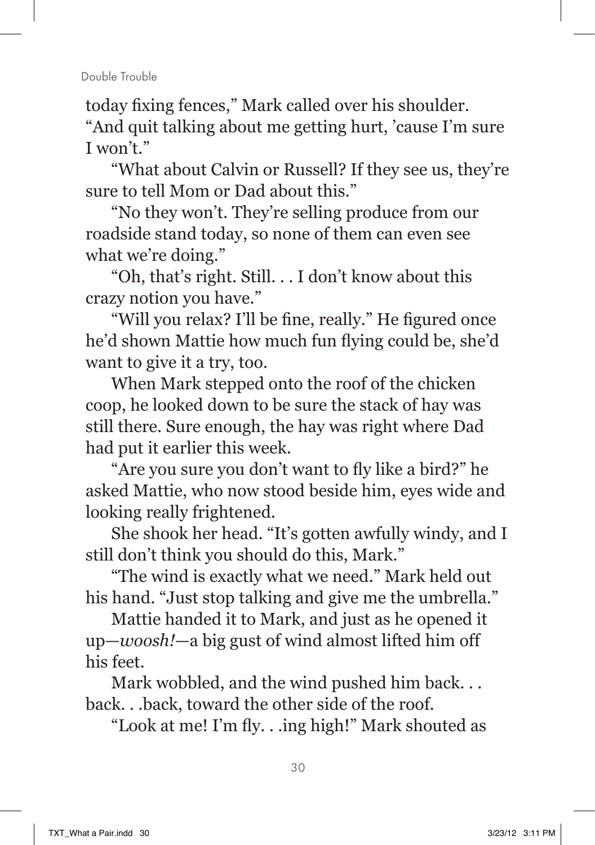today fixing fences," Mark called over his shoulder.

"And quit talking about me getting hurt, 'cause I'm sure I won't."

"What about Calvin or Russell? If they see us, they're sure to tell Mom or Dad about this."

"No they won't. They're selling produce from our roadside stand today, so none of them can even see what we're doing."

"Oh, that's right. Still. . . I don't know about this crazy notion you have."

"Will you relax? I'll be fine, really." He figured once he'd shown Mattie how much fun flying could be, she'd want to give it a try, too.

When Mark stepped onto the roof of the chicken coop, he looked down to be sure the stack of hay was still there. Sure enough, the hay was right where Dad had put it earlier this week.

"Are you sure you don't want to fly like a bird?" he asked Mattie, who now stood beside him, eyes wide and looking really frightened.

She shook her head. "It's gotten awfully windy, and I still don't think you should do this, Mark."

"The wind is exactly what we need." Mark held out his hand. "Just stop talking and give me the umbrella."

Mattie handed it to Mark, and just as he opened it up—*woosh!*—a big gust of wind almost lifted him off his feet.

Mark wobbled, and the wind pushed him back. . . back. . .back, toward the other side of the roof.

"Look at me! I'm fly. . .ing high!" Mark shouted as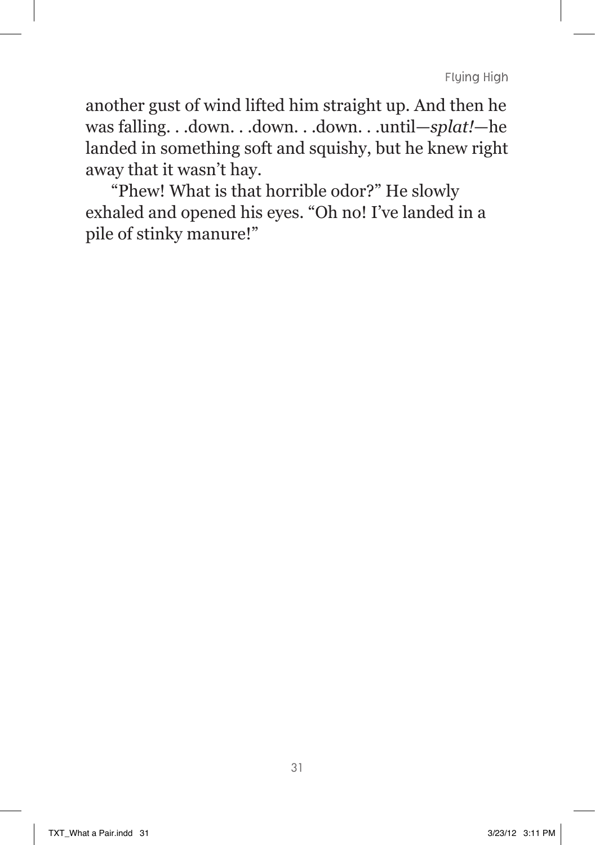another gust of wind lifted him straight up. And then he was falling. . .down. . .down. . .down. . .until—*splat!*—he landed in something soft and squishy, but he knew right away that it wasn't hay.

"Phew! What is that horrible odor?" He slowly exhaled and opened his eyes. "Oh no! I've landed in a pile of stinky manure!"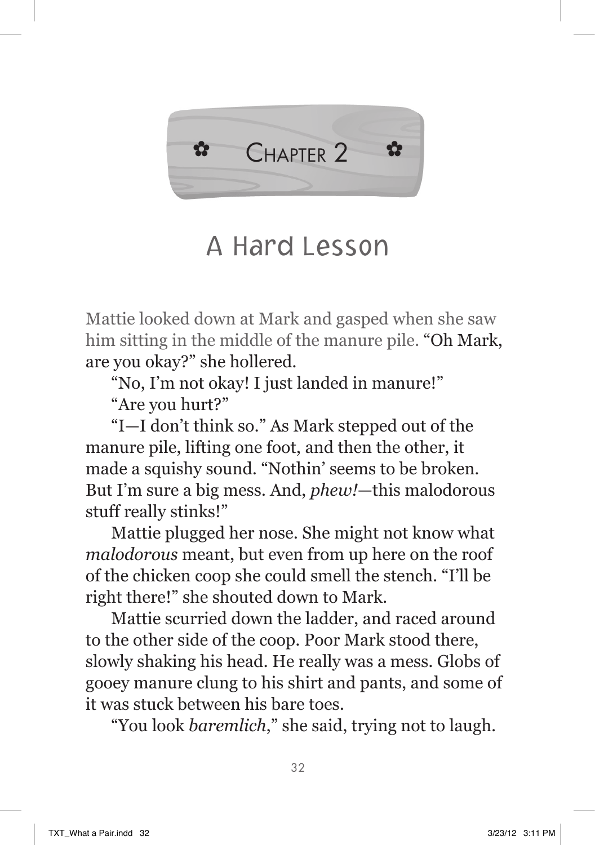

## A Hard Lesson

Mattie looked down at Mark and gasped when she saw him sitting in the middle of the manure pile. "Oh Mark, are you okay?" she hollered.

"No, I'm not okay! I just landed in manure!"

"Are you hurt?"

"I—I don't think so." As Mark stepped out of the manure pile, lifting one foot, and then the other, it made a squishy sound. "Nothin' seems to be broken. But I'm sure a big mess. And, *phew!*—this malodorous stuff really stinks!"

Mattie plugged her nose. She might not know what *malodorous* meant, but even from up here on the roof of the chicken coop she could smell the stench. "I'll be right there!" she shouted down to Mark.

Mattie scurried down the ladder, and raced around to the other side of the coop. Poor Mark stood there, slowly shaking his head. He really was a mess. Globs of gooey manure clung to his shirt and pants, and some of it was stuck between his bare toes.

"You look *baremlich*," she said, trying not to laugh.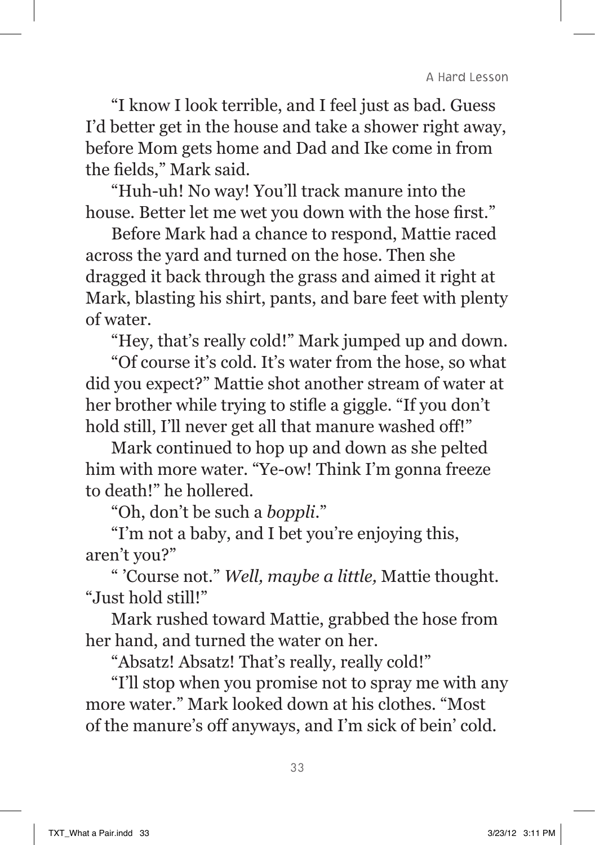"I know I look terrible, and I feel just as bad. Guess I'd better get in the house and take a shower right away, before Mom gets home and Dad and Ike come in from the fields," Mark said.

"Huh-uh! No way! You'll track manure into the house. Better let me wet you down with the hose first."

Before Mark had a chance to respond, Mattie raced across the yard and turned on the hose. Then she dragged it back through the grass and aimed it right at Mark, blasting his shirt, pants, and bare feet with plenty of water.

"Hey, that's really cold!" Mark jumped up and down.

"Of course it's cold. It's water from the hose, so what did you expect?" Mattie shot another stream of water at her brother while trying to stifle a giggle. "If you don't hold still, I'll never get all that manure washed off!"

Mark continued to hop up and down as she pelted him with more water. "Ye-ow! Think I'm gonna freeze to death!" he hollered.

"Oh, don't be such a *boppli*."

"I'm not a baby, and I bet you're enjoying this, aren't you?"

" 'Course not." *Well, maybe a little,* Mattie thought. "Just hold still!"

Mark rushed toward Mattie, grabbed the hose from her hand, and turned the water on her.

"Absatz! Absatz! That's really, really cold!"

"I'll stop when you promise not to spray me with any more water." Mark looked down at his clothes. "Most of the manure's off anyways, and I'm sick of bein' cold.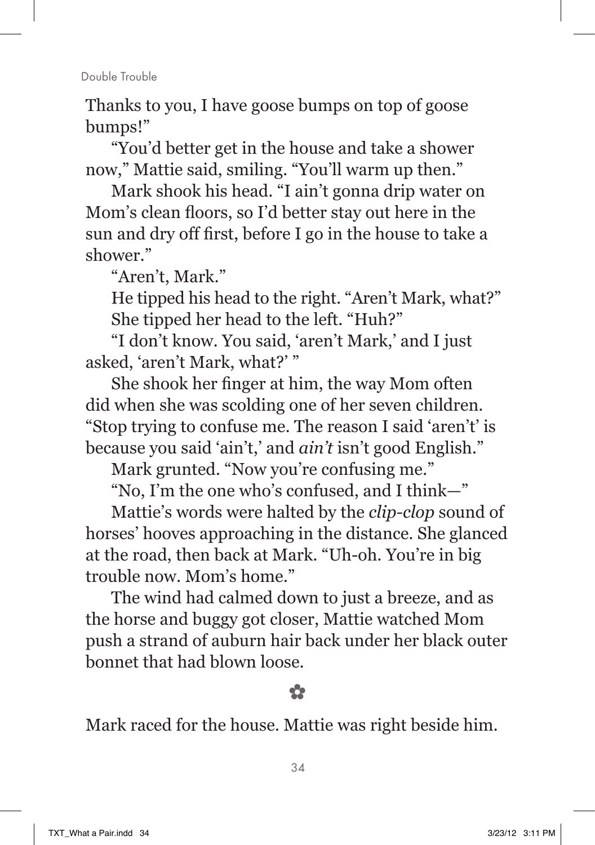Thanks to you, I have goose bumps on top of goose bumps!"

"You'd better get in the house and take a shower now," Mattie said, smiling. "You'll warm up then."

Mark shook his head. "I ain't gonna drip water on Mom's clean floors, so I'd better stay out here in the sun and dry off first, before I go in the house to take a shower."

"Aren't, Mark."

He tipped his head to the right. "Aren't Mark, what?" She tipped her head to the left. "Huh?"

"I don't know. You said, 'aren't Mark,' and I just asked, 'aren't Mark, what?' "

She shook her finger at him, the way Mom often did when she was scolding one of her seven children. "Stop trying to confuse me. The reason I said 'aren't' is because you said 'ain't,' and *ain't* isn't good English."

Mark grunted. "Now you're confusing me."

"No, I'm the one who's confused, and I think—"

Mattie's words were halted by the *clip-clop* sound of horses' hooves approaching in the distance. She glanced at the road, then back at Mark. "Uh-oh. You're in big trouble now. Mom's home."

The wind had calmed down to just a breeze, and as the horse and buggy got closer, Mattie watched Mom push a strand of auburn hair back under her black outer bonnet that had blown loose.

## ✿

Mark raced for the house. Mattie was right beside him.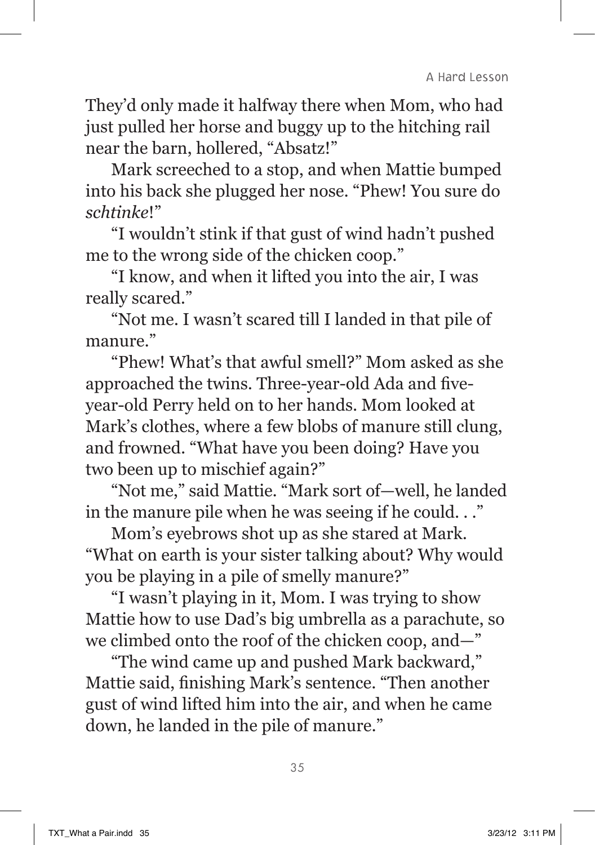They'd only made it halfway there when Mom, who had just pulled her horse and buggy up to the hitching rail near the barn, hollered, "Absatz!"

Mark screeched to a stop, and when Mattie bumped into his back she plugged her nose. "Phew! You sure do *schtinke*!"

"I wouldn't stink if that gust of wind hadn't pushed me to the wrong side of the chicken coop."

"I know, and when it lifted you into the air, I was really scared."

"Not me. I wasn't scared till I landed in that pile of manure."

"Phew! What's that awful smell?" Mom asked as she approached the twins. Three-year-old Ada and fiveyear-old Perry held on to her hands. Mom looked at Mark's clothes, where a few blobs of manure still clung, and frowned. "What have you been doing? Have you two been up to mischief again?"

"Not me," said Mattie. "Mark sort of—well, he landed in the manure pile when he was seeing if he could. . ."

Mom's eyebrows shot up as she stared at Mark. "What on earth is your sister talking about? Why would you be playing in a pile of smelly manure?"

"I wasn't playing in it, Mom. I was trying to show Mattie how to use Dad's big umbrella as a parachute, so we climbed onto the roof of the chicken coop, and—"

"The wind came up and pushed Mark backward," Mattie said, finishing Mark's sentence. "Then another gust of wind lifted him into the air, and when he came down, he landed in the pile of manure."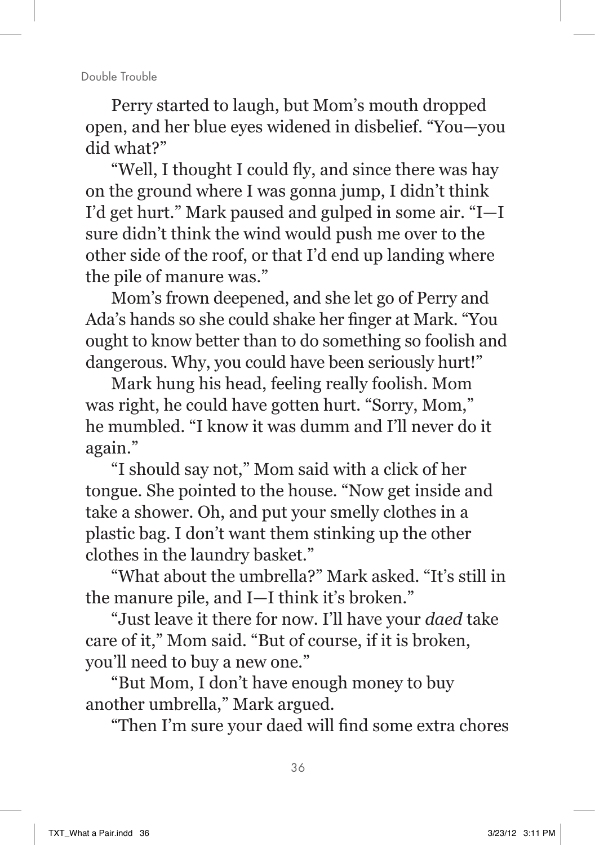Perry started to laugh, but Mom's mouth dropped open, and her blue eyes widened in disbelief. "You—you did what?"

"Well, I thought I could fly, and since there was hay on the ground where I was gonna jump, I didn't think I'd get hurt." Mark paused and gulped in some air. "I—I sure didn't think the wind would push me over to the other side of the roof, or that I'd end up landing where the pile of manure was."

Mom's frown deepened, and she let go of Perry and Ada's hands so she could shake her finger at Mark. "You ought to know better than to do something so foolish and dangerous. Why, you could have been seriously hurt!"

Mark hung his head, feeling really foolish. Mom was right, he could have gotten hurt. "Sorry, Mom," he mumbled. "I know it was dumm and I'll never do it again."

"I should say not," Mom said with a click of her tongue. She pointed to the house. "Now get inside and take a shower. Oh, and put your smelly clothes in a plastic bag. I don't want them stinking up the other clothes in the laundry basket."

"What about the umbrella?" Mark asked. "It's still in the manure pile, and I—I think it's broken."

"Just leave it there for now. I'll have your *daed* take care of it," Mom said. "But of course, if it is broken, you'll need to buy a new one."

"But Mom, I don't have enough money to buy another umbrella," Mark argued.

"Then I'm sure your daed will find some extra chores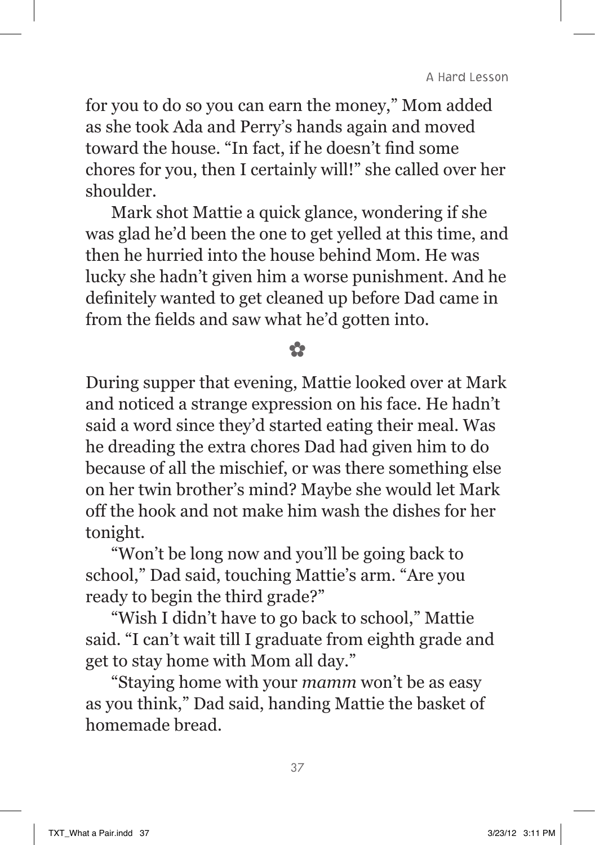A Hard Lesson

for you to do so you can earn the money," Mom added as she took Ada and Perry's hands again and moved toward the house. "In fact, if he doesn't find some chores for you, then I certainly will!" she called over her shoulder.

Mark shot Mattie a quick glance, wondering if she was glad he'd been the one to get yelled at this time, and then he hurried into the house behind Mom. He was lucky she hadn't given him a worse punishment. And he definitely wanted to get cleaned up before Dad came in from the fields and saw what he'd gotten into.

#### ✿

During supper that evening, Mattie looked over at Mark and noticed a strange expression on his face. He hadn't said a word since they'd started eating their meal. Was he dreading the extra chores Dad had given him to do because of all the mischief, or was there something else on her twin brother's mind? Maybe she would let Mark off the hook and not make him wash the dishes for her tonight.

"Won't be long now and you'll be going back to school," Dad said, touching Mattie's arm. "Are you ready to begin the third grade?"

"Wish I didn't have to go back to school," Mattie said. "I can't wait till I graduate from eighth grade and get to stay home with Mom all day."

"Staying home with your *mamm* won't be as easy as you think," Dad said, handing Mattie the basket of homemade bread.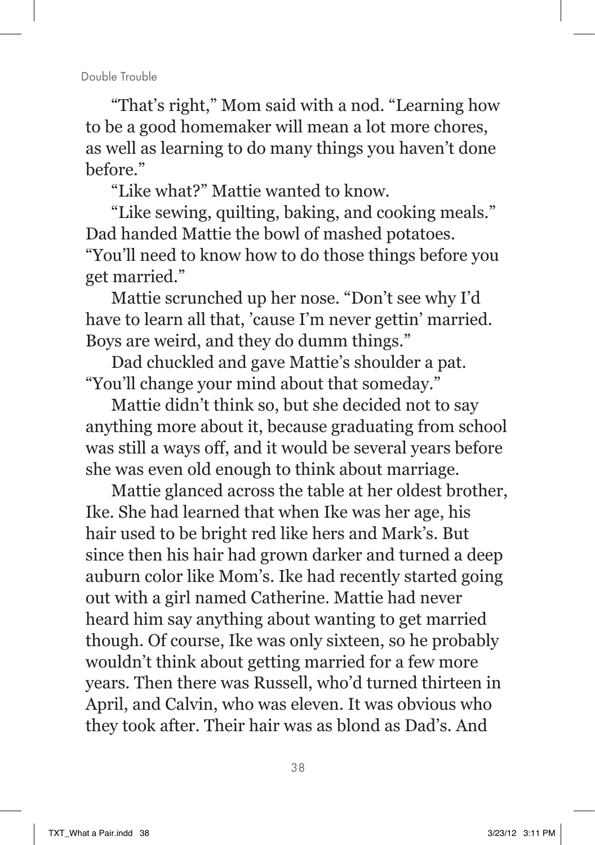"That's right," Mom said with a nod. "Learning how to be a good homemaker will mean a lot more chores, as well as learning to do many things you haven't done before."

"Like what?" Mattie wanted to know.

"Like sewing, quilting, baking, and cooking meals." Dad handed Mattie the bowl of mashed potatoes. "You'll need to know how to do those things before you get married."

Mattie scrunched up her nose. "Don't see why I'd have to learn all that, 'cause I'm never gettin' married. Boys are weird, and they do dumm things."

Dad chuckled and gave Mattie's shoulder a pat. "You'll change your mind about that someday."

Mattie didn't think so, but she decided not to say anything more about it, because graduating from school was still a ways off, and it would be several years before she was even old enough to think about marriage.

Mattie glanced across the table at her oldest brother, Ike. She had learned that when Ike was her age, his hair used to be bright red like hers and Mark's. But since then his hair had grown darker and turned a deep auburn color like Mom's. Ike had recently started going out with a girl named Catherine. Mattie had never heard him say anything about wanting to get married though. Of course, Ike was only sixteen, so he probably wouldn't think about getting married for a few more years. Then there was Russell, who'd turned thirteen in April, and Calvin, who was eleven. It was obvious who they took after. Their hair was as blond as Dad's. And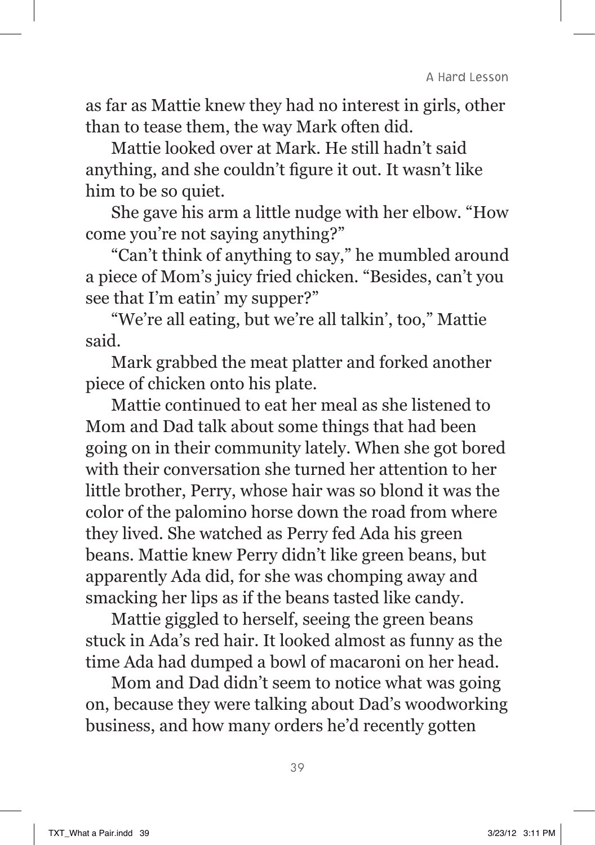as far as Mattie knew they had no interest in girls, other than to tease them, the way Mark often did.

Mattie looked over at Mark. He still hadn't said anything, and she couldn't figure it out. It wasn't like him to be so quiet.

She gave his arm a little nudge with her elbow. "How come you're not saying anything?"

"Can't think of anything to say," he mumbled around a piece of Mom's juicy fried chicken. "Besides, can't you see that I'm eatin' my supper?"

"We're all eating, but we're all talkin', too," Mattie said.

Mark grabbed the meat platter and forked another piece of chicken onto his plate.

Mattie continued to eat her meal as she listened to Mom and Dad talk about some things that had been going on in their community lately. When she got bored with their conversation she turned her attention to her little brother, Perry, whose hair was so blond it was the color of the palomino horse down the road from where they lived. She watched as Perry fed Ada his green beans. Mattie knew Perry didn't like green beans, but apparently Ada did, for she was chomping away and smacking her lips as if the beans tasted like candy.

Mattie giggled to herself, seeing the green beans stuck in Ada's red hair. It looked almost as funny as the time Ada had dumped a bowl of macaroni on her head.

Mom and Dad didn't seem to notice what was going on, because they were talking about Dad's woodworking business, and how many orders he'd recently gotten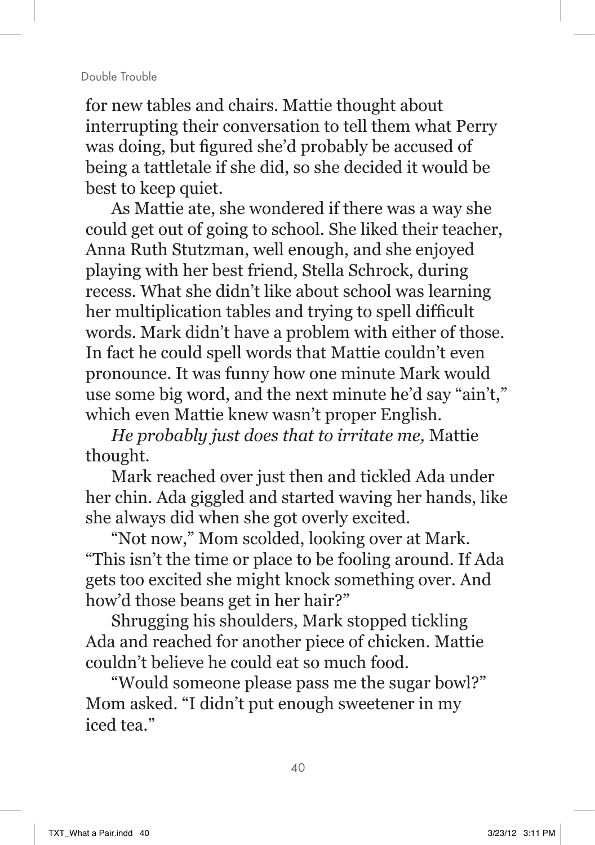#### Double Trouble

for new tables and chairs. Mattie thought about interrupting their conversation to tell them what Perry was doing, but figured she'd probably be accused of being a tattletale if she did, so she decided it would be best to keep quiet.

As Mattie ate, she wondered if there was a way she could get out of going to school. She liked their teacher, Anna Ruth Stutzman, well enough, and she enjoyed playing with her best friend, Stella Schrock, during recess. What she didn't like about school was learning her multiplication tables and trying to spell difficult words. Mark didn't have a problem with either of those. In fact he could spell words that Mattie couldn't even pronounce. It was funny how one minute Mark would use some big word, and the next minute he'd say "ain't," which even Mattie knew wasn't proper English.

*He probably just does that to irritate me,* Mattie thought.

Mark reached over just then and tickled Ada under her chin. Ada giggled and started waving her hands, like she always did when she got overly excited.

"Not now," Mom scolded, looking over at Mark. "This isn't the time or place to be fooling around. If Ada gets too excited she might knock something over. And how'd those beans get in her hair?"

Shrugging his shoulders, Mark stopped tickling Ada and reached for another piece of chicken. Mattie couldn't believe he could eat so much food.

"Would someone please pass me the sugar bowl?" Mom asked. "I didn't put enough sweetener in my iced tea."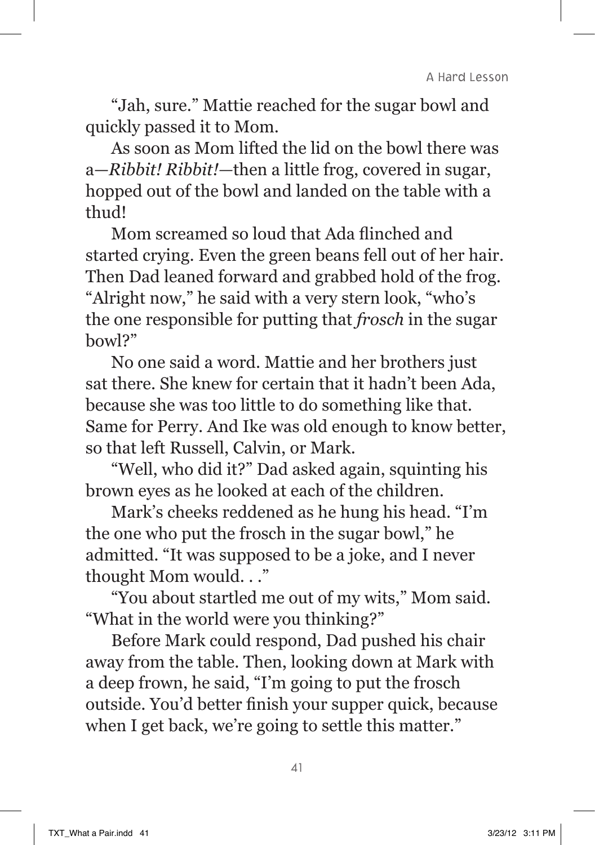"Jah, sure." Mattie reached for the sugar bowl and quickly passed it to Mom.

As soon as Mom lifted the lid on the bowl there was a—*Ribbit! Ribbit!—*then a little frog, covered in sugar, hopped out of the bowl and landed on the table with a thud!

Mom screamed so loud that Ada flinched and started crying. Even the green beans fell out of her hair. Then Dad leaned forward and grabbed hold of the frog. "Alright now," he said with a very stern look, "who's the one responsible for putting that *frosch* in the sugar bowl?"

No one said a word. Mattie and her brothers just sat there. She knew for certain that it hadn't been Ada, because she was too little to do something like that. Same for Perry. And Ike was old enough to know better, so that left Russell, Calvin, or Mark.

"Well, who did it?" Dad asked again, squinting his brown eyes as he looked at each of the children.

Mark's cheeks reddened as he hung his head. "I'm the one who put the frosch in the sugar bowl," he admitted. "It was supposed to be a joke, and I never thought Mom would. . ."

"You about startled me out of my wits," Mom said. "What in the world were you thinking?"

Before Mark could respond, Dad pushed his chair away from the table. Then, looking down at Mark with a deep frown, he said, "I'm going to put the frosch outside. You'd better finish your supper quick, because when I get back, we're going to settle this matter."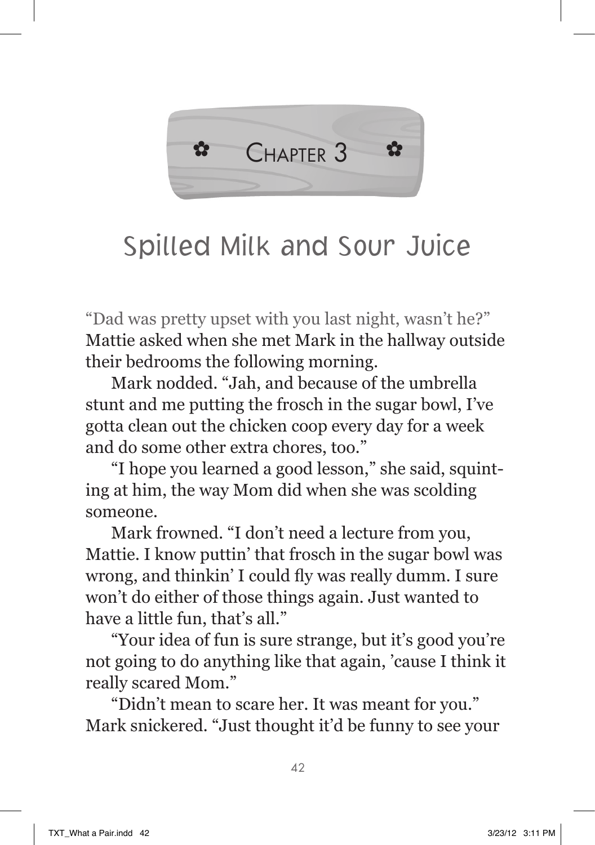

# Spilled Milk and Sour Juice

"Dad was pretty upset with you last night, wasn't he?" Mattie asked when she met Mark in the hallway outside their bedrooms the following morning.

Mark nodded. "Jah, and because of the umbrella stunt and me putting the frosch in the sugar bowl, I've gotta clean out the chicken coop every day for a week and do some other extra chores, too."

"I hope you learned a good lesson," she said, squinting at him, the way Mom did when she was scolding someone.

Mark frowned. "I don't need a lecture from you, Mattie. I know puttin' that frosch in the sugar bowl was wrong, and thinkin' I could fly was really dumm. I sure won't do either of those things again. Just wanted to have a little fun, that's all."

"Your idea of fun is sure strange, but it's good you're not going to do anything like that again, 'cause I think it really scared Mom."

"Didn't mean to scare her. It was meant for you." Mark snickered. "Just thought it'd be funny to see your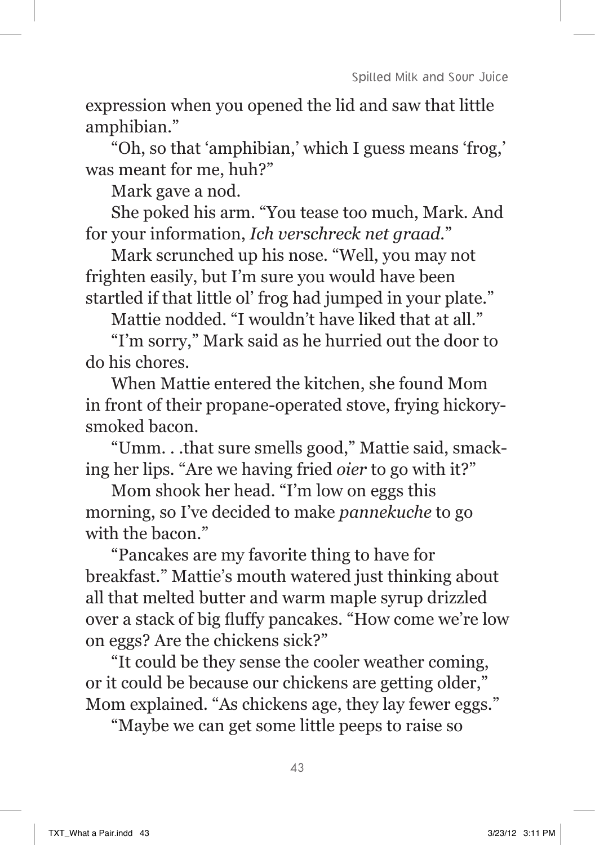expression when you opened the lid and saw that little amphibian."

"Oh, so that 'amphibian,' which I guess means 'frog,' was meant for me, huh?"

Mark gave a nod.

She poked his arm. "You tease too much, Mark. And for your information, *Ich verschreck net graad.*"

Mark scrunched up his nose. "Well, you may not frighten easily, but I'm sure you would have been startled if that little ol' frog had jumped in your plate."

Mattie nodded. "I wouldn't have liked that at all."

"I'm sorry," Mark said as he hurried out the door to do his chores.

When Mattie entered the kitchen, she found Mom in front of their propane-operated stove, frying hickorysmoked bacon.

"Umm. . .that sure smells good," Mattie said, smacking her lips. "Are we having fried *oier* to go with it?"

Mom shook her head. "I'm low on eggs this morning, so I've decided to make *pannekuche* to go with the bacon."

"Pancakes are my favorite thing to have for breakfast." Mattie's mouth watered just thinking about all that melted butter and warm maple syrup drizzled over a stack of big fluffy pancakes. "How come we're low on eggs? Are the chickens sick?"

"It could be they sense the cooler weather coming, or it could be because our chickens are getting older," Mom explained. "As chickens age, they lay fewer eggs."

"Maybe we can get some little peeps to raise so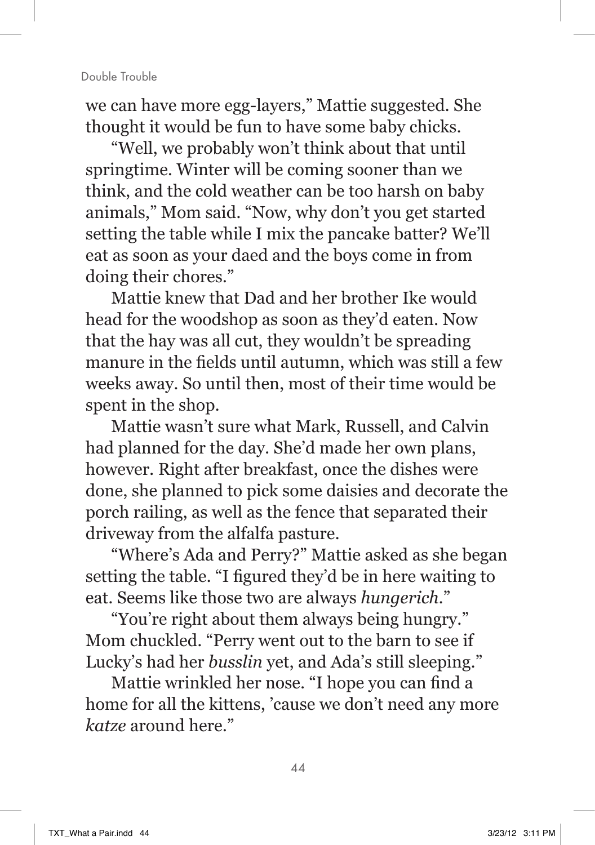we can have more egg-layers," Mattie suggested. She thought it would be fun to have some baby chicks.

"Well, we probably won't think about that until springtime. Winter will be coming sooner than we think, and the cold weather can be too harsh on baby animals," Mom said. "Now, why don't you get started setting the table while I mix the pancake batter? We'll eat as soon as your daed and the boys come in from doing their chores."

Mattie knew that Dad and her brother Ike would head for the woodshop as soon as they'd eaten. Now that the hay was all cut, they wouldn't be spreading manure in the fields until autumn, which was still a few weeks away. So until then, most of their time would be spent in the shop.

Mattie wasn't sure what Mark, Russell, and Calvin had planned for the day. She'd made her own plans, however. Right after breakfast, once the dishes were done, she planned to pick some daisies and decorate the porch railing, as well as the fence that separated their driveway from the alfalfa pasture.

"Where's Ada and Perry?" Mattie asked as she began setting the table. "I figured they'd be in here waiting to eat. Seems like those two are always *hungerich*."

"You're right about them always being hungry." Mom chuckled. "Perry went out to the barn to see if Lucky's had her *busslin* yet, and Ada's still sleeping."

Mattie wrinkled her nose. "I hope you can find a home for all the kittens, 'cause we don't need any more *katze* around here."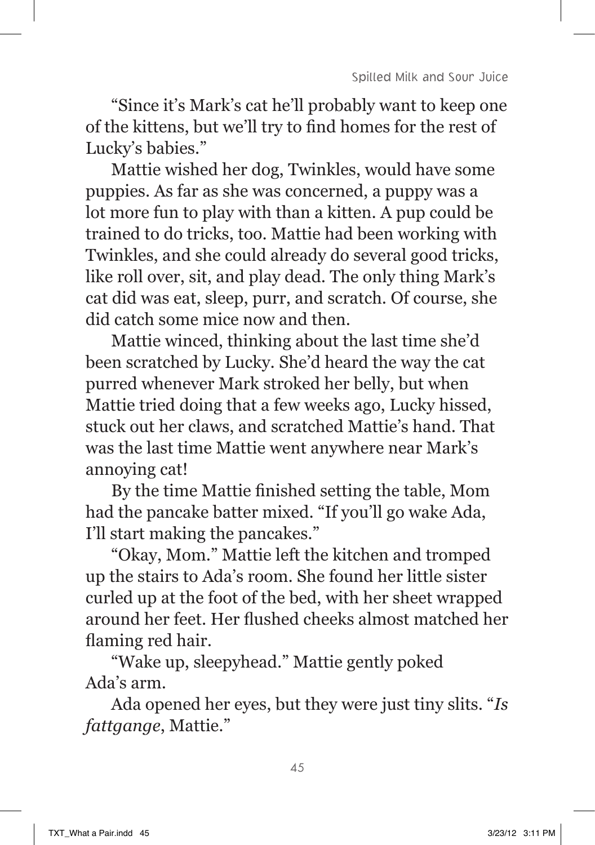"Since it's Mark's cat he'll probably want to keep one of the kittens, but we'll try to find homes for the rest of Lucky's babies."

Mattie wished her dog, Twinkles, would have some puppies. As far as she was concerned, a puppy was a lot more fun to play with than a kitten. A pup could be trained to do tricks, too. Mattie had been working with Twinkles, and she could already do several good tricks, like roll over, sit, and play dead. The only thing Mark's cat did was eat, sleep, purr, and scratch. Of course, she did catch some mice now and then.

Mattie winced, thinking about the last time she'd been scratched by Lucky. She'd heard the way the cat purred whenever Mark stroked her belly, but when Mattie tried doing that a few weeks ago, Lucky hissed, stuck out her claws, and scratched Mattie's hand. That was the last time Mattie went anywhere near Mark's annoying cat!

By the time Mattie finished setting the table, Mom had the pancake batter mixed. "If you'll go wake Ada, I'll start making the pancakes."

"Okay, Mom." Mattie left the kitchen and tromped up the stairs to Ada's room. She found her little sister curled up at the foot of the bed, with her sheet wrapped around her feet. Her flushed cheeks almost matched her flaming red hair.

"Wake up, sleepyhead." Mattie gently poked Ada's arm.

Ada opened her eyes, but they were just tiny slits. "*Is fattgange*, Mattie."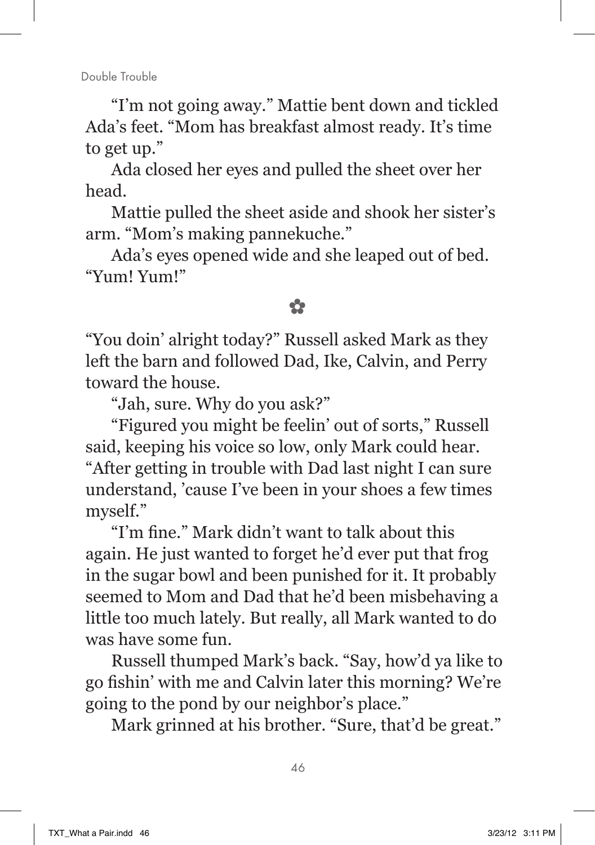"I'm not going away." Mattie bent down and tickled Ada's feet. "Mom has breakfast almost ready. It's time to get up."

Ada closed her eyes and pulled the sheet over her head.

Mattie pulled the sheet aside and shook her sister's arm. "Mom's making pannekuche."

Ada's eyes opened wide and she leaped out of bed. "Yum! Yum!"

### ✿

"You doin' alright today?" Russell asked Mark as they left the barn and followed Dad, Ike, Calvin, and Perry toward the house.

"Jah, sure. Why do you ask?"

"Figured you might be feelin' out of sorts," Russell said, keeping his voice so low, only Mark could hear. "After getting in trouble with Dad last night I can sure understand, 'cause I've been in your shoes a few times myself."

"I'm fine." Mark didn't want to talk about this again. He just wanted to forget he'd ever put that frog in the sugar bowl and been punished for it. It probably seemed to Mom and Dad that he'd been misbehaving a little too much lately. But really, all Mark wanted to do was have some fun.

Russell thumped Mark's back. "Say, how'd ya like to go fishin' with me and Calvin later this morning? We're going to the pond by our neighbor's place."

Mark grinned at his brother. "Sure, that'd be great."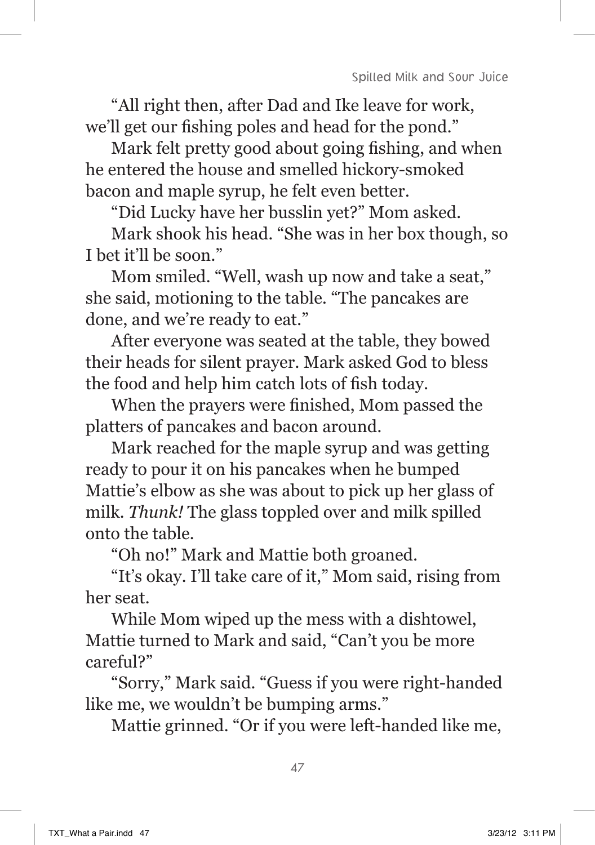"All right then, after Dad and Ike leave for work, we'll get our fishing poles and head for the pond."

Mark felt pretty good about going fishing, and when he entered the house and smelled hickory-smoked bacon and maple syrup, he felt even better.

"Did Lucky have her busslin yet?" Mom asked.

Mark shook his head. "She was in her box though, so I bet it'll be soon."

Mom smiled. "Well, wash up now and take a seat," she said, motioning to the table. "The pancakes are done, and we're ready to eat."

After everyone was seated at the table, they bowed their heads for silent prayer. Mark asked God to bless the food and help him catch lots of fish today.

When the prayers were finished, Mom passed the platters of pancakes and bacon around.

Mark reached for the maple syrup and was getting ready to pour it on his pancakes when he bumped Mattie's elbow as she was about to pick up her glass of milk. *Thunk!* The glass toppled over and milk spilled onto the table.

"Oh no!" Mark and Mattie both groaned.

"It's okay. I'll take care of it," Mom said, rising from her seat.

While Mom wiped up the mess with a dishtowel, Mattie turned to Mark and said, "Can't you be more careful?"

"Sorry," Mark said. "Guess if you were right-handed like me, we wouldn't be bumping arms."

Mattie grinned. "Or if you were left-handed like me,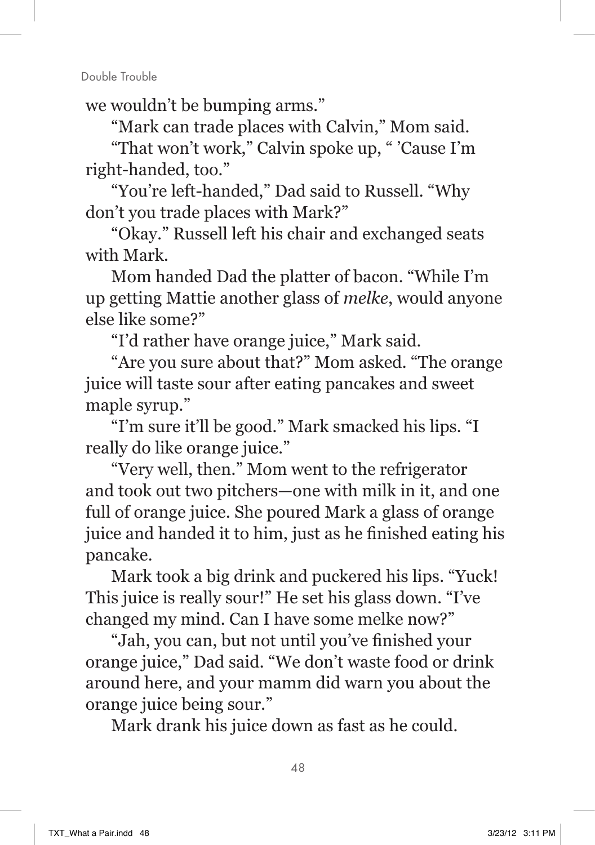we wouldn't be bumping arms."

"Mark can trade places with Calvin," Mom said.

"That won't work," Calvin spoke up, " 'Cause I'm right-handed, too."

"You're left-handed," Dad said to Russell. "Why don't you trade places with Mark?"

"Okay." Russell left his chair and exchanged seats with Mark.

Mom handed Dad the platter of bacon. "While I'm up getting Mattie another glass of *melke*, would anyone else like some?"

"I'd rather have orange juice," Mark said.

"Are you sure about that?" Mom asked. "The orange juice will taste sour after eating pancakes and sweet maple syrup."

"I'm sure it'll be good." Mark smacked his lips. "I really do like orange juice."

"Very well, then." Mom went to the refrigerator and took out two pitchers—one with milk in it, and one full of orange juice. She poured Mark a glass of orange juice and handed it to him, just as he finished eating his pancake.

Mark took a big drink and puckered his lips. "Yuck! This juice is really sour!" He set his glass down. "I've changed my mind. Can I have some melke now?"

"Jah, you can, but not until you've finished your orange juice," Dad said. "We don't waste food or drink around here, and your mamm did warn you about the orange juice being sour."

Mark drank his juice down as fast as he could.